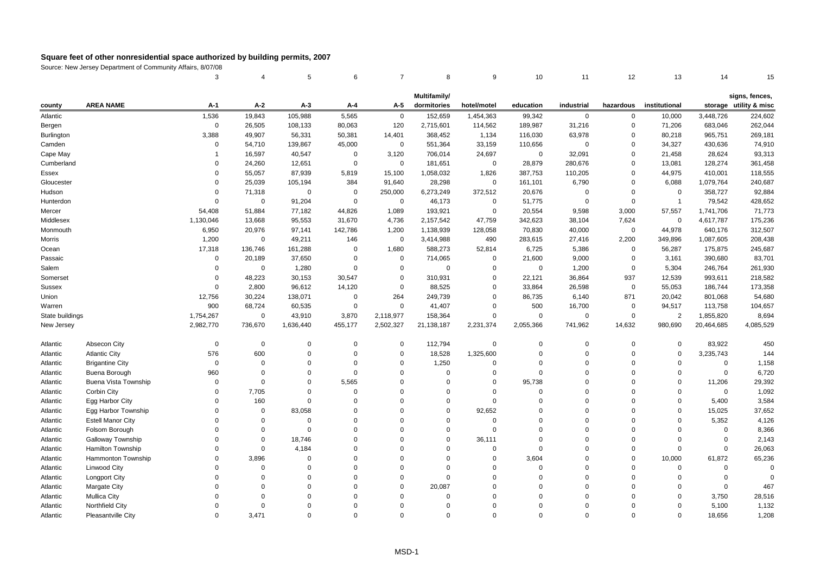|                   |                             | 3            | 4           | 5           | 6           | $\overline{7}$ | 8            | 9           | 10          | 11          | 12          | 13             | 14          | 15                     |
|-------------------|-----------------------------|--------------|-------------|-------------|-------------|----------------|--------------|-------------|-------------|-------------|-------------|----------------|-------------|------------------------|
|                   |                             |              |             |             |             |                | Multifamily/ |             |             |             |             |                |             | signs, fences,         |
| county            | <b>AREA NAME</b>            | A-1          | $A-2$       | $A-3$       | A-4         | A-5            | dormitories  | hotel/motel | education   | industrial  | hazardous   | institutional  |             | storage utility & misc |
| Atlantic          |                             | 1,536        | 19,843      | 105,988     | 5,565       | $\mathbf{0}$   | 152,659      | 1,454,363   | 99,342      | $\mathbf 0$ | $\mathbf 0$ | 10,000         | 3,448,726   | 224,602                |
| Bergen            |                             | $\mathsf 0$  | 26,505      | 108,133     | 80,063      | 120            | 2,715,601    | 114,562     | 189,987     | 31,216      | $\mathbf 0$ | 71,206         | 683,046     | 262,044                |
| <b>Burlington</b> |                             | 3,388        | 49,907      | 56,331      | 50,381      | 14,401         | 368,452      | 1,134       | 116,030     | 63,978      | $\mathbf 0$ | 80,218         | 965,751     | 269,181                |
| Camden            |                             | $\Omega$     | 54,710      | 139,867     | 45,000      | $\mathbf 0$    | 551,364      | 33,159      | 110,656     | $\Omega$    | $\Omega$    | 34,327         | 430,636     | 74,910                 |
| Cape May          |                             | $\mathbf{1}$ | 16,597      | 40,547      | $\mathbf 0$ | 3,120          | 706,014      | 24,697      | $\mathbf 0$ | 32,091      | $\Omega$    | 21,458         | 28,624      | 93,313                 |
| Cumberland        |                             | $\Omega$     | 24,260      | 12,651      | $\mathbf 0$ | $\mathbf 0$    | 181,651      | $\mathbf 0$ | 28,879      | 280,676     | $\Omega$    | 13,081         | 128,274     | 361,458                |
| Essex             |                             | $\Omega$     | 55,057      | 87,939      | 5,819       | 15,100         | 1,058,032    | 1,826       | 387,753     | 110,205     | $\Omega$    | 44,975         | 410,001     | 118,555                |
| Gloucester        |                             | $\Omega$     | 25,039      | 105,194     | 384         | 91,640         | 28,298       | $\mathbf 0$ | 161,101     | 6,790       | 0           | 6,088          | 1,079,764   | 240,687                |
| Hudson            |                             | $\Omega$     | 71,318      | $\mathbf 0$ | $\mathbf 0$ | 250,000        | 6,273,249    | 372,512     | 20,676      | $\Omega$    | $\Omega$    | $\mathbf 0$    | 358,727     | 92,884                 |
| Hunterdon         |                             | $\Omega$     | $\mathbf 0$ | 91,204      | $\mathbf 0$ | $\mathbf 0$    | 46,173       | 0           | 51,775      | $\Omega$    | $\mathbf 0$ | $\overline{1}$ | 79,542      | 428,652                |
| Mercer            |                             | 54,408       | 51,884      | 77,182      | 44,826      | 1,089          | 193,921      | 0           | 20,554      | 9,598       | 3,000       | 57,557         | 1,741,706   | 71,773                 |
| Middlesex         |                             | 1,130,046    | 13,668      | 95,553      | 31,670      | 4,736          | 2,157,542    | 47,759      | 342,623     | 38,104      | 7,624       | 0              | 4,617,787   | 175,236                |
| Monmouth          |                             | 6,950        | 20,976      | 97,141      | 142,786     | 1,200          | 1,138,939    | 128,058     | 70,830      | 40,000      | 0           | 44,978         | 640,176     | 312,507                |
| Morris            |                             | 1,200        | $\mathbf 0$ | 49,211      | 146         | 0              | 3,414,988    | 490         | 283,615     | 27,416      | 2,200       | 349,896        | 1,087,605   | 208,438                |
| Ocean             |                             | 17,318       | 136,746     | 161,288     | $\mathbf 0$ | 1,680          | 588,273      | 52,814      | 6,725       | 5,386       | 0           | 56,287         | 175,875     | 245,687                |
| Passaic           |                             | $\Omega$     | 20,189      | 37,650      | $\Omega$    | $\mathbf 0$    | 714,065      | $\mathbf 0$ | 21,600      | 9,000       | $\mathbf 0$ | 3,161          | 390,680     | 83,701                 |
| Salem             |                             | $\Omega$     | 0           | 1,280       | $\Omega$    | $\mathbf 0$    | 0            | $\Omega$    | $\mathbf 0$ | 1,200       | 0           | 5,304          | 246,764     | 261,930                |
| Somerset          |                             | $\Omega$     | 48,223      | 30,153      | 30,547      | $\Omega$       | 310,931      | $\mathbf 0$ | 22,121      | 36,864      | 937         | 12,539         | 993,611     | 218,582                |
| Sussex            |                             | $\Omega$     | 2,800       | 96,612      | 14,120      | $\mathsf 0$    | 88,525       | $\mathbf 0$ | 33,864      | 26,598      | $\mathbf 0$ | 55,053         | 186,744     | 173,358                |
| Union             |                             | 12,756       | 30,224      | 138,071     | $\mathbf 0$ | 264            | 249,739      | $\Omega$    | 86,735      | 6,140       | 871         | 20,042         | 801,068     | 54,680                 |
| Warren            |                             | 900          | 68,724      | 60,535      | $\mathbf 0$ | $\mathbf{0}$   | 41,407       | $\mathbf 0$ | 500         | 16,700      | 0           | 94,517         | 113,758     | 104,657                |
| State buildings   |                             | 1,754,267    | $\mathsf 0$ | 43,910      | 3,870       | 2,118,977      | 158,364      | $\mathbf 0$ | $\mathbf 0$ | $\mathbf 0$ | $\mathbf 0$ | $\overline{2}$ | 1,855,820   | 8,694                  |
| New Jersey        |                             | 2,982,770    | 736,670     | 1,636,440   | 455,177     | 2,502,327      | 21,138,187   | 2,231,374   | 2,055,366   | 741,962     | 14,632      | 980,690        | 20,464,685  | 4,085,529              |
| Atlantic          | Absecon City                | $\mathbf 0$  | $\mathsf 0$ | $\mathbf 0$ | $\mathbf 0$ | 0              | 112,794      | 0           | $\Omega$    | $\Omega$    | 0           | 0              | 83,922      | 450                    |
| Atlantic          | <b>Atlantic City</b>        | 576          | 600         | $\Omega$    | $\mathbf 0$ | $\Omega$       | 18,528       | 1,325,600   | $\Omega$    | $\Omega$    | $\mathbf 0$ | $\Omega$       | 3,235,743   | 144                    |
| Atlantic          | <b>Brigantine City</b>      | $\Omega$     | $\mathbf 0$ | $\Omega$    | $\Omega$    | $\Omega$       | 1,250        | 0           | $\Omega$    | $\Omega$    | $\Omega$    | $\Omega$       | $\mathbf 0$ | 1,158                  |
| Atlantic          | Buena Borough               | 960          | $\Omega$    | $\Omega$    | $\mathbf 0$ | $\Omega$       | $\mathsf 0$  | $\mathbf 0$ | $\Omega$    | $\Omega$    | $\Omega$    | $\Omega$       | $\mathbf 0$ | 6,720                  |
| Atlantic          | <b>Buena Vista Township</b> | $\Omega$     | $\Omega$    | $\Omega$    | 5,565       | $\Omega$       | $\mathbf 0$  | $\Omega$    | 95,738      | $\Omega$    | $\Omega$    | $\Omega$       | 11,206      | 29,392                 |
| Atlantic          | Corbin City                 | $\Omega$     | 7,705       | $\Omega$    | $\Omega$    | $\Omega$       | $\Omega$     | $\Omega$    | $\Omega$    | $\Omega$    | $\Omega$    | $\Omega$       | $\mathbf 0$ | 1,092                  |
| Atlantic          | Egg Harbor City             | $\Omega$     | 160         | 0           | $\mathbf 0$ | $\Omega$       | $\Omega$     | $\mathbf 0$ | $\Omega$    | $\Omega$    | $\Omega$    | $\Omega$       | 5,400       | 3,584                  |
| Atlantic          | Egg Harbor Township         | $\Omega$     | $\mathsf 0$ | 83,058      | $\mathbf 0$ | $\Omega$       | $\Omega$     | 92,652      | $\Omega$    | $\Omega$    | $\Omega$    | $\Omega$       | 15,025      | 37,652                 |
| Atlantic          | <b>Estell Manor City</b>    | $\Omega$     | $\mathbf 0$ | $\Omega$    | $\mathbf 0$ | $\Omega$       | $\Omega$     | $\Omega$    | $\Omega$    | $\Omega$    | $\Omega$    | $\Omega$       | 5,352       | 4,126                  |
| Atlantic          | Folsom Borough              | $\Omega$     | $\Omega$    | $\Omega$    | $\mathbf 0$ | $\Omega$       | $\Omega$     | $\Omega$    | $\Omega$    | $\Omega$    | $\Omega$    | $\Omega$       | $\mathbf 0$ | 8,366                  |
| Atlantic          | Galloway Township           | $\Omega$     | $\Omega$    | 18,746      | $\mathbf 0$ | $\Omega$       | $\Omega$     | 36,111      | $\Omega$    | $\Omega$    | $\Omega$    | $\Omega$       | $\mathbf 0$ | 2,143                  |
| Atlantic          | <b>Hamilton Township</b>    | $\Omega$     | $\mathbf 0$ | 4,184       | $\mathbf 0$ | $\Omega$       | $\Omega$     | $\mathbf 0$ | $\Omega$    | $\Omega$    | $\Omega$    | $\Omega$       | $\mathbf 0$ | 26,063                 |
| Atlantic          | Hammonton Township          | $\Omega$     | 3,896       | $\Omega$    | $\mathbf 0$ | $\Omega$       | $\Omega$     | $\Omega$    | 3,604       | $\Omega$    | $\mathbf 0$ | 10,000         | 61,872      | 65,236                 |
| Atlantic          | Linwood City                | $\Omega$     | $\mathbf 0$ | $\Omega$    | $\mathbf 0$ | $\Omega$       | $\mathbf 0$  | $\Omega$    | $\Omega$    | $\Omega$    | $\mathbf 0$ | 0              | $\mathbf 0$ | $\Omega$               |
| Atlantic          | Longport City               | $\Omega$     | $\Omega$    | $\Omega$    | $\mathbf 0$ | $\Omega$       | $\mathbf 0$  | $\Omega$    | $\Omega$    | $\Omega$    | $\Omega$    | $\Omega$       | $\mathbf 0$ | $\Omega$               |
| Atlantic          | Margate City                | $\Omega$     | $\Omega$    | $\Omega$    | $\Omega$    | $\Omega$       | 20,087       | $\Omega$    | $\Omega$    | $\Omega$    | $\Omega$    | $\Omega$       | $\mathbf 0$ | 467                    |
| Atlantic          | <b>Mullica City</b>         | $\Omega$     | $\Omega$    | $\Omega$    | $\Omega$    | $\Omega$       | $\Omega$     | $\Omega$    | $\Omega$    | $\Omega$    | $\Omega$    | $\Omega$       | 3,750       | 28,516                 |
| Atlantic          | Northfield City             | $\Omega$     | $\Omega$    | $\Omega$    | $\mathbf 0$ | $\Omega$       | $\Omega$     | $\Omega$    | $\Omega$    | $\Omega$    | $\Omega$    | $\Omega$       | 5,100       | 1,132                  |
| Atlantic          | Pleasantville City          | $\Omega$     | 3.471       | $\Omega$    | $\Omega$    | $\Omega$       | $\Omega$     | $\Omega$    | $\Omega$    | $\Omega$    | $\Omega$    | $\Omega$       | 18.656      | 1,208                  |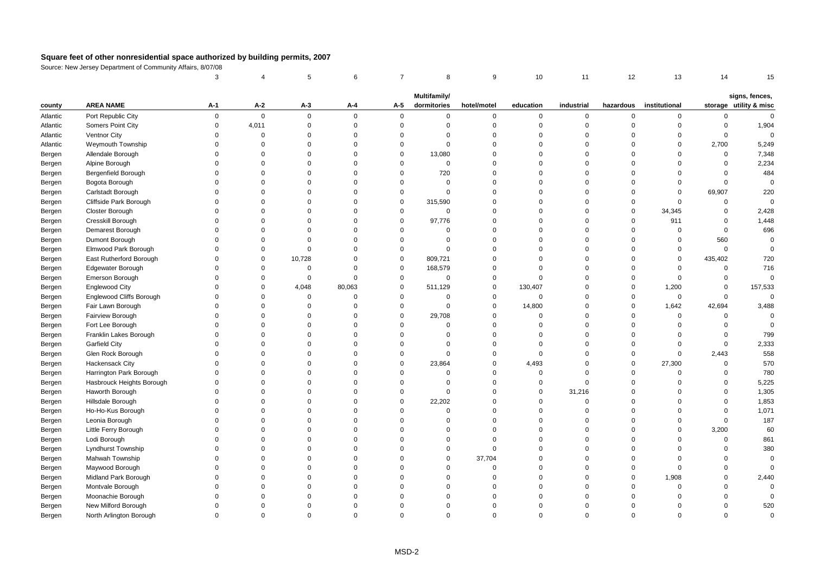|          |                           | 3           |              | 5           | 6           | $\overline{7}$ | 8                           | 9           | 10          | 11          | 12          | 13            | 14           | 15                                       |
|----------|---------------------------|-------------|--------------|-------------|-------------|----------------|-----------------------------|-------------|-------------|-------------|-------------|---------------|--------------|------------------------------------------|
|          |                           |             |              |             |             |                |                             |             |             |             |             |               |              |                                          |
| county   | <b>AREA NAME</b>          | $A-1$       | $A-2$        | А-3         | A-4         | $A-5$          | Multifamily/<br>dormitories | hotel/motel | education   | industrial  | hazardous   | institutional |              | signs, fences,<br>storage utility & misc |
| Atlantic | Port Republic City        | $\mathsf 0$ | $\mathbf 0$  | $\mathbf 0$ | $\mathbf 0$ | $\overline{0}$ | $\mathbf 0$                 | $\mathbf 0$ | $\mathbf 0$ | $\mathbf 0$ | $\mathbf 0$ | $\mathbf 0$   | 0            | $\mathbf{0}$                             |
| Atlantic | Somers Point City         | $\mathsf 0$ | 4,011        | $\mathsf 0$ | $\mathbf 0$ | $\mathsf 0$    | $\mathbf 0$                 | $\Omega$    | $\mathbf 0$ | 0           | $\Omega$    | $\Omega$      | $\mathbf 0$  | 1,904                                    |
| Atlantic | Ventnor City              | $\mathsf 0$ | $\mathbf{0}$ | $\mathbf 0$ | $\mathsf 0$ | 0              | $\mathbf 0$                 | $\Omega$    | $\mathbf 0$ | 0           | $\Omega$    | $\Omega$      | 0            | $\mathbf 0$                              |
| Atlantic | Weymouth Township         | $\Omega$    | $\Omega$     | $\Omega$    | $\Omega$    | $\Omega$       | $\Omega$                    | $\Omega$    | $\Omega$    | $\Omega$    | $\Omega$    | $\Omega$      | 2,700        | 5,249                                    |
| Bergen   | Allendale Borough         | $\Omega$    | $\Omega$     | $\Omega$    | $\Omega$    | $\mathbf 0$    | 13,080                      | $\Omega$    | $\Omega$    | $\Omega$    | $\Omega$    | $\Omega$      | $\mathbf{0}$ | 7,348                                    |
| Bergen   | Alpine Borough            | $\Omega$    | $\Omega$     | $\mathbf 0$ | $\Omega$    | 0              | $\mathbf 0$                 | $\Omega$    | $\Omega$    | 0           | $\mathbf 0$ | $\Omega$      | 0            | 2,234                                    |
| Bergen   | Bergenfield Borough       | $\Omega$    | $\Omega$     | $\Omega$    | $\Omega$    | $\Omega$       | 720                         | $\Omega$    | $\Omega$    | $\Omega$    | $\Omega$    | $\Omega$      | $\Omega$     | 484                                      |
| Bergen   | Bogota Borough            | $\Omega$    | $\Omega$     | $\Omega$    | $\mathbf 0$ | $\Omega$       | $\Omega$                    | $\Omega$    | $\Omega$    | $\Omega$    | $\Omega$    | $\Omega$      | $\mathbf{0}$ | $\mathbf 0$                              |
| Bergen   | Carlstadt Borough         | $\Omega$    | $\Omega$     | $\Omega$    | $\Omega$    | $\mathbf 0$    | $\Omega$                    | $\Omega$    | $\Omega$    | $\Omega$    | $\Omega$    | $\Omega$      | 69,907       | 220                                      |
| Bergen   | Cliffside Park Borough    | $\Omega$    | $\Omega$     | $\Omega$    | $\Omega$    | $\mathbf 0$    | 315,590                     | $\Omega$    | $\Omega$    | $\Omega$    | $\mathbf 0$ | $\Omega$      | $\Omega$     | $\Omega$                                 |
| Bergen   | Closter Borough           | $\Omega$    | $\Omega$     | $\Omega$    | $\Omega$    | $\Omega$       | $\Omega$                    | $\Omega$    | $\Omega$    | $\Omega$    | $\mathbf 0$ | 34,345        | $\mathbf{0}$ | 2,428                                    |
| Bergen   | Cresskill Borough         | $\Omega$    | $\Omega$     | $\Omega$    | $\Omega$    | $\mathbf 0$    | 97,776                      | $\Omega$    | $\Omega$    | $\Omega$    | $\mathbf 0$ | 911           | $\Omega$     | 1,448                                    |
| Bergen   | Demarest Borough          | $\Omega$    | $\Omega$     | $\Omega$    | $\Omega$    | $\Omega$       | $\Omega$                    | $\Omega$    | $\Omega$    | $\Omega$    | $\mathbf 0$ | $\mathbf 0$   | $\mathbf{0}$ | 696                                      |
| Bergen   | Dumont Borough            | $\Omega$    | $\Omega$     | $\Omega$    | $\Omega$    | $\mathbf 0$    | $\mathbf 0$                 | $\Omega$    | $\Omega$    | $\mathbf 0$ | $\Omega$    | $\mathsf 0$   | 560          | $\mathbf 0$                              |
| Bergen   | Elmwood Park Borough      | $\Omega$    | $\Omega$     | $\mathbf 0$ | $\Omega$    | $\Omega$       | $\Omega$                    | $\Omega$    | $\Omega$    | $\Omega$    | $\Omega$    | $\Omega$      | $\mathbf 0$  | $\Omega$                                 |
| Bergen   | East Rutherford Borough   | $\Omega$    | $\mathbf 0$  | 10,728      | $\Omega$    | 0              | 809,721                     | $\Omega$    | $\Omega$    | $\Omega$    | $\Omega$    | $\Omega$      | 435,402      | 720                                      |
| Bergen   | <b>Edgewater Borough</b>  | $\Omega$    | $\Omega$     | $\mathbf 0$ | $\mathbf 0$ | $\mathbf 0$    | 168,579                     | $\Omega$    | $\Omega$    | $\Omega$    | $\mathbf 0$ | $\Omega$      | 0            | 716                                      |
| Bergen   | Emerson Borough           | $\Omega$    | $\mathbf 0$  | $\mathsf 0$ | $\mathsf 0$ | $\mathsf 0$    | $\mathbf 0$                 | $\Omega$    | $\Omega$    | $\mathbf 0$ | $\mathbf 0$ | $\Omega$      | $\mathbf 0$  | $\Omega$                                 |
| Bergen   | <b>Englewood City</b>     | $\Omega$    | $\Omega$     | 4,048       | 80,063      | $\Omega$       | 511,129                     | $\mathbf 0$ | 130,407     | $\Omega$    | $\mathbf 0$ | 1,200         | $\Omega$     | 157,533                                  |
| Bergen   | Englewood Cliffs Borough  | $\Omega$    | $\Omega$     | $\mathbf 0$ | $\Omega$    | $\Omega$       | $\Omega$                    | $\Omega$    | $\Omega$    | $\Omega$    | $\mathbf 0$ | $\mathbf 0$   | $\Omega$     | $\Omega$                                 |
| Bergen   | Fair Lawn Borough         | $\Omega$    | $\Omega$     | $\mathbf 0$ | $\Omega$    | $\mathbf 0$    | $\Omega$                    | $\mathbf 0$ | 14,800      | $\Omega$    | $\mathbf 0$ | 1,642         | 42,694       | 3,488                                    |
| Bergen   | Fairview Borough          | $\Omega$    | $\Omega$     | $\mathbf 0$ | $\mathsf 0$ | $\mathbf 0$    | 29,708                      | $\Omega$    | $\Omega$    | $\Omega$    | $\mathbf 0$ | $\mathbf 0$   | $\mathbf 0$  | $\Omega$                                 |
| Bergen   | Fort Lee Borough          | $\Omega$    | $\Omega$     | $\Omega$    | $\Omega$    | $\Omega$       | $\Omega$                    | $\Omega$    | $\Omega$    | $\Omega$    | $\Omega$    | $\Omega$      | $\Omega$     | $\Omega$                                 |
| Bergen   | Franklin Lakes Borough    | $\Omega$    | $\Omega$     | $\Omega$    | $\Omega$    | $\Omega$       | $\Omega$                    | $\Omega$    | $\Omega$    | $\Omega$    | $\mathbf 0$ | $\Omega$      | $\Omega$     | 799                                      |
| Bergen   | <b>Garfield City</b>      | $\Omega$    | $\Omega$     | $\Omega$    | $\mathbf 0$ | $\Omega$       | $\Omega$                    | $\Omega$    | $\Omega$    | $\Omega$    | $\mathbf 0$ | $\Omega$      | $\mathbf 0$  | 2,333                                    |
| Bergen   | Glen Rock Borough         | $\Omega$    | $\Omega$     | $\Omega$    | $\Omega$    | $\mathbf 0$    | $\Omega$                    | $\Omega$    | $\mathbf 0$ | $\Omega$    | $\mathbf 0$ | $\mathbf 0$   | 2,443        | 558                                      |
| Bergen   | Hackensack City           | $\Omega$    | $\Omega$     | $\Omega$    | $\mathbf 0$ | 0              | 23,864                      | $\Omega$    | 4,493       | $\Omega$    | $\mathbf 0$ | 27,300        | $\Omega$     | 570                                      |
| Bergen   | Harrington Park Borough   | $\Omega$    | $\Omega$     | $\Omega$    | $\Omega$    | $\Omega$       | $\Omega$                    | $\Omega$    | $\mathbf 0$ | $\mathbf 0$ | $\mathbf 0$ | $\Omega$      | $\mathbf{0}$ | 780                                      |
| Bergen   | Hasbrouck Heights Borough | $\Omega$    | $\Omega$     | $\Omega$    | $\mathbf 0$ | $\Omega$       | $\Omega$                    | $\Omega$    | $\mathbf 0$ | $\Omega$    | $\mathbf 0$ | $\Omega$      | $\Omega$     | 5,225                                    |
| Bergen   | Haworth Borough           | $\Omega$    | $\Omega$     | $\mathbf 0$ | $\mathsf 0$ | $\mathbf 0$    | $\mathbf 0$                 | $\Omega$    | $\mathbf 0$ | 31,216      | $\mathbf 0$ | $\Omega$      | $\mathbf{0}$ | 1,305                                    |
| Bergen   | Hillsdale Borough         | $\Omega$    | $\Omega$     | $\Omega$    | $\Omega$    | $\Omega$       | 22,202                      | $\Omega$    | $\Omega$    | $\Omega$    | $\Omega$    | $\Omega$      | $\Omega$     | 1,853                                    |
| Bergen   | Ho-Ho-Kus Borough         | $\Omega$    | $\Omega$     | $\Omega$    | $\Omega$    | $\Omega$       | $\Omega$                    | $\Omega$    | $\Omega$    | $\Omega$    | $\Omega$    | $\Omega$      | $\Omega$     | 1,071                                    |
| Bergen   | Leonia Borough            | $\Omega$    | $\Omega$     | $\Omega$    | $\Omega$    | $\Omega$       | $\Omega$                    | $\Omega$    | $\Omega$    | $\Omega$    | $\mathbf 0$ | $\Omega$      | $\mathbf{0}$ | 187                                      |
| Bergen   | Little Ferry Borough      | $\Omega$    | $\mathbf 0$  | $\mathbf 0$ | $\mathbf 0$ | $\Omega$       | $\Omega$                    | $\Omega$    | $\Omega$    | $\mathbf 0$ | $\Omega$    | $\mathbf 0$   | 3,200        | 60                                       |
| Bergen   | Lodi Borough              | $\Omega$    | $\Omega$     | $\Omega$    | $\mathbf 0$ | $\Omega$       | $\Omega$                    | $\Omega$    | $\Omega$    | $\Omega$    | $\Omega$    | $\Omega$      | $\Omega$     | 861                                      |
| Bergen   | Lyndhurst Township        | $\Omega$    | $\Omega$     | $\Omega$    | $\mathbf 0$ | $\Omega$       | $\Omega$                    | $\Omega$    | $\Omega$    | $\Omega$    | $\Omega$    | $\Omega$      | $\Omega$     | 380                                      |
| Bergen   | Mahwah Township           | $\Omega$    | $\Omega$     | $\Omega$    | $\Omega$    | $\Omega$       | $\Omega$                    | 37,704      | $\Omega$    | $\Omega$    | $\mathbf 0$ | $\Omega$      | $\Omega$     | $\mathbf 0$                              |
| Bergen   | Maywood Borough           | $\Omega$    | $\Omega$     | $\mathbf 0$ | $\Omega$    | $\Omega$       | $\mathbf 0$                 | $\Omega$    | $\Omega$    | $\mathbf 0$ | $\mathsf 0$ | $\Omega$      | $\mathbf{0}$ | $\Omega$                                 |
| Bergen   | Midland Park Borough      | $\Omega$    | $\Omega$     | $\Omega$    | $\Omega$    | $\Omega$       | $\Omega$                    | $\Omega$    | $\Omega$    | $\Omega$    | $\mathbf 0$ | 1,908         | $\Omega$     | 2,440                                    |
| Bergen   | Montvale Borough          | $\Omega$    | $\Omega$     | $\Omega$    | $\Omega$    | $\Omega$       | $\Omega$                    | $\Omega$    | $\Omega$    | $\Omega$    | $\Omega$    | $\Omega$      | $\Omega$     | $\Omega$                                 |
| Bergen   | Moonachie Borough         | $\Omega$    | $\Omega$     | $\Omega$    | $\Omega$    | $\Omega$       | $\Omega$                    | $\Omega$    | $\Omega$    | $\Omega$    | $\Omega$    | $\Omega$      | 0            | $\mathbf 0$                              |
| Bergen   | New Milford Borough       | $\Omega$    | $\Omega$     | $\Omega$    | $\Omega$    | $\Omega$       | $\Omega$                    | $\Omega$    | $\Omega$    | $\Omega$    | $\Omega$    | $\Omega$      | $\Omega$     | 520                                      |
| Bergen   | North Arlington Borough   | $\Omega$    | $\Omega$     | $\Omega$    | $\Omega$    | $\Omega$       | $\Omega$                    | $\Omega$    | $\Omega$    | $\Omega$    | $\Omega$    | $\Omega$      | $\Omega$     | $\mathbf 0$                              |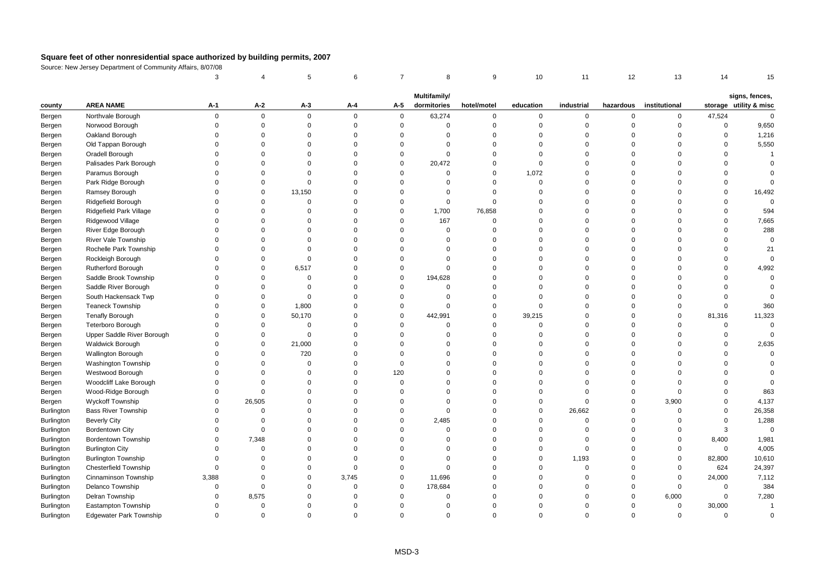|                   |                                | 3           |             | 5           | 6        | $\overline{7}$ | 8            | 9           | 10          | 11          | 12             | 13            | 14          | 15                      |
|-------------------|--------------------------------|-------------|-------------|-------------|----------|----------------|--------------|-------------|-------------|-------------|----------------|---------------|-------------|-------------------------|
|                   |                                |             |             |             |          |                | Multifamily/ |             |             |             |                |               |             | signs, fences,          |
| county            | <b>AREA NAME</b>               | $A-1$       | A-2         | $A-3$       | A-4      | A-5            | dormitories  | hotel/motel | education   | industrial  | hazardous      | institutional |             | storage utility & misc  |
| Bergen            | Northvale Borough              | $\mathbf 0$ | $\mathbf 0$ | $\mathbf 0$ | $\Omega$ | $\mathbf{0}$   | 63,274       | $\mathbf 0$ | 0           | $\mathbf 0$ | $\mathbf 0$    | $\mathbf 0$   | 47,524      | $\mathbf{0}$            |
| Bergen            | Norwood Borough                | $\Omega$    | $\mathbf 0$ | $\mathsf 0$ | $\Omega$ | $\mathsf 0$    | $\mathbf 0$  | $\mathbf 0$ | $\mathbf 0$ | $\mathbf 0$ | $\overline{0}$ | $\mathbf 0$   | $\mathsf 0$ | 9,650                   |
| Bergen            | Oakland Borough                | $\Omega$    | $\Omega$    | $\Omega$    | $\Omega$ | $\Omega$       | $\Omega$     | $\mathbf 0$ | $\Omega$    | $\mathbf 0$ | $\Omega$       | $\Omega$      | 0           | 1,216                   |
| Bergen            | Old Tappan Borough             | $\Omega$    | $\Omega$    | $\Omega$    | $\Omega$ | $\Omega$       | $\Omega$     | $\mathbf 0$ | $\Omega$    | $\Omega$    | $\Omega$       | $\Omega$      | $\Omega$    | 5,550                   |
| Bergen            | Oradell Borough                | $\Omega$    | $\Omega$    | $\Omega$    | $\Omega$ | $\Omega$       | $\Omega$     | $\mathbf 0$ | $\Omega$    | $\Omega$    | $\Omega$       | $\Omega$      | $\Omega$    | $\overline{\mathbf{1}}$ |
| Bergen            | Palisades Park Borough         | $\Omega$    | $\Omega$    | $\mathbf 0$ | $\Omega$ | $\mathbf 0$    | 20,472       | $\mathbf 0$ | $\mathbf 0$ | 0           | $\overline{0}$ | $\Omega$      | $\mathbf 0$ | $\Omega$                |
| Bergen            | Paramus Borough                | $\Omega$    | $\Omega$    | $\Omega$    | $\Omega$ | $\mathbf 0$    | $\Omega$     | $\mathbf 0$ | 1,072       | $\mathbf 0$ | $\Omega$       | $\Omega$      | $\Omega$    | $\Omega$                |
| Bergen            | Park Ridge Borough             | $\Omega$    | $\Omega$    | $\Omega$    | $\Omega$ | $\Omega$       | $\Omega$     | $\mathbf 0$ | $\mathbf 0$ | $\mathbf 0$ | $\Omega$       | $\Omega$      | $\mathbf 0$ | $\Omega$                |
| Bergen            | Ramsey Borough                 | $\Omega$    | $\mathbf 0$ | 13,150      | $\Omega$ | $\Omega$       | $\Omega$     | $\Omega$    | $\Omega$    | $\Omega$    | $\Omega$       | $\Omega$      | $\Omega$    | 16,492                  |
| Bergen            | Ridgefield Borough             | $\Omega$    | $\Omega$    | $\Omega$    | $\Omega$ | $\Omega$       | $\Omega$     | $\Omega$    | $\Omega$    | $\Omega$    | $\Omega$       | $\Omega$      | $\Omega$    | $\Omega$                |
| Bergen            | Ridgefield Park Village        | $\Omega$    | $\Omega$    | $\Omega$    | $\Omega$ | $\mathbf 0$    | 1,700        | 76,858      | $\Omega$    | $\Omega$    | $\Omega$       | $\Omega$      | $\Omega$    | 594                     |
| Bergen            | Ridgewood Village              | $\Omega$    | $\Omega$    | $\Omega$    | $\Omega$ | $\mathbf 0$    | 167          | $\mathbf 0$ | $\Omega$    | $\mathbf 0$ | $\Omega$       | $\Omega$      | $\Omega$    | 7,665                   |
| Bergen            | River Edge Borough             | $\mathbf 0$ | $\Omega$    | $\Omega$    | $\Omega$ | $\Omega$       | $\mathbf 0$  | $\mathbf 0$ | $\Omega$    | 0           | $\overline{0}$ | $\Omega$      | $\mathbf 0$ | 288                     |
| Bergen            | River Vale Township            | $\Omega$    | $\Omega$    | $\Omega$    | $\Omega$ | $\Omega$       | $\Omega$     | $\mathbf 0$ | $\Omega$    | $\Omega$    | $\Omega$       | $\Omega$      | $\Omega$    | $\mathbf 0$             |
| Bergen            | Rochelle Park Township         | $\Omega$    | $\Omega$    | $\Omega$    | $\Omega$ | $\Omega$       | $\Omega$     | $\mathbf 0$ | $\Omega$    | $\Omega$    | $\Omega$       | $\Omega$      | $\Omega$    | 21                      |
| Bergen            | Rockleigh Borough              | $\Omega$    | $\Omega$    | $\Omega$    | $\Omega$ | $\Omega$       | $\Omega$     | $\mathbf 0$ | $\Omega$    | $\Omega$    | $\Omega$       | $\Omega$      | $\Omega$    | $\Omega$                |
| Bergen            | <b>Rutherford Borough</b>      | $\Omega$    | $\Omega$    | 6,517       | $\Omega$ | $\mathbf 0$    | $\Omega$     | $\mathbf 0$ | $\Omega$    | $\Omega$    | $\Omega$       | $\Omega$      | $\Omega$    | 4,992                   |
| Bergen            | Saddle Brook Township          | $\Omega$    | $\Omega$    | $\Omega$    | $\Omega$ | $\mathbf 0$    | 194,628      | $\mathbf 0$ | $\Omega$    | $\Omega$    | $\Omega$       | $\Omega$      | $\Omega$    | $\Omega$                |
| Bergen            | Saddle River Borough           | $\Omega$    | $\Omega$    | $\Omega$    | $\Omega$ | $\mathbf 0$    | $\mathbf 0$  | $\mathbf 0$ | $\Omega$    | $\Omega$    | $\Omega$       | $\Omega$      | $\Omega$    | $\mathbf 0$             |
| Bergen            | South Hackensack Twp           | $\Omega$    | $\Omega$    | $\mathbf 0$ | $\Omega$ | $\mathbf 0$    | $\Omega$     | $\mathbf 0$ | $\Omega$    | $\Omega$    | $\Omega$       | $\Omega$      | $\Omega$    | $\Omega$                |
| Bergen            | <b>Teaneck Township</b>        | $\Omega$    | $\Omega$    | 1,800       | $\Omega$ | $\mathbf 0$    | $\Omega$     | $\mathbf 0$ | $\Omega$    | $\Omega$    | $\Omega$       | $\Omega$      | $\Omega$    | 360                     |
| Bergen            | <b>Tenafly Borough</b>         | $\Omega$    | $\Omega$    | 50,170      | $\Omega$ | $\mathbf 0$    | 442,991      | $\mathbf 0$ | 39,215      | $\Omega$    | $\Omega$       | $\Omega$      | 81,316      | 11,323                  |
| Bergen            | Teterboro Borough              | $\Omega$    | $\Omega$    | $\mathbf 0$ | $\Omega$ | $\mathbf 0$    | $\mathbf 0$  | $\mathbf 0$ | $\Omega$    | $\mathbf 0$ | $\Omega$       | $\mathbf 0$   | $\mathsf 0$ | $\Omega$                |
| Bergen            | Upper Saddle River Borough     | $\mathbf 0$ | $\mathbf 0$ | $\mathbf 0$ | $\Omega$ | $\Omega$       | $\mathbf 0$  | $\mathbf 0$ | $\mathbf 0$ | $\Omega$    | $\overline{0}$ | $\Omega$      | $\mathbf 0$ | $\mathbf 0$             |
| Bergen            | <b>Waldwick Borough</b>        | $\Omega$    | $\Omega$    | 21,000      | $\Omega$ | $\Omega$       | $\Omega$     | $\mathbf 0$ | $\Omega$    | $\Omega$    | $\Omega$       | $\Omega$      | $\Omega$    | 2,635                   |
| Bergen            | <b>Wallington Borough</b>      | $\Omega$    | $\Omega$    | 720         | $\Omega$ | $\Omega$       | $\Omega$     | $\mathbf 0$ | $\Omega$    | $\Omega$    | $\Omega$       | $\Omega$      | $\Omega$    | $\Omega$                |
| Bergen            | <b>Washington Township</b>     | $\Omega$    | $\Omega$    | $\Omega$    | $\Omega$ | $\mathbf 0$    | $\Omega$     | $\mathbf 0$ | $\Omega$    | $\mathbf 0$ | $\Omega$       | $\Omega$      | $\Omega$    | $\Omega$                |
| Bergen            | Westwood Borough               | $\Omega$    | $\Omega$    | $\Omega$    | $\Omega$ | 120            | $\Omega$     | $\mathbf 0$ | $\Omega$    | $\Omega$    | $\Omega$       | $\Omega$      | $\Omega$    | $\Omega$                |
| Bergen            | Woodcliff Lake Borough         | $\Omega$    | $\Omega$    | $\Omega$    | $\Omega$ | $\Omega$       | $\Omega$     | $\mathbf 0$ | $\Omega$    | $\Omega$    | $\Omega$       | $\Omega$      | $\Omega$    | $\Omega$                |
| Bergen            | Wood-Ridge Borough             | $\Omega$    | $\Omega$    | $\Omega$    | $\Omega$ | $\Omega$       | $\Omega$     | $\mathbf 0$ | $\Omega$    | $\mathbf 0$ | $\mathbf 0$    | $\Omega$      | $\Omega$    | 863                     |
| Bergen            | Wyckoff Township               | $\Omega$    | 26,505      | $\Omega$    | $\Omega$ | $\Omega$       | $\Omega$     | $\mathbf 0$ | $\mathbf 0$ | $\mathbf 0$ | $\overline{0}$ | 3,900         | $\Omega$    | 4,137                   |
| Burlington        | <b>Bass River Township</b>     | $\Omega$    | $\mathbf 0$ | $\Omega$    | $\Omega$ | $\mathbf 0$    | $\Omega$     | $\mathbf 0$ | $\mathbf 0$ | 26,662      | $\Omega$       | $\Omega$      | $\Omega$    | 26,358                  |
| Burlington        | <b>Beverly City</b>            | $\Omega$    | $\mathbf 0$ | $\Omega$    | $\Omega$ | $\mathbf 0$    | 2,485        | $\mathbf 0$ | $\Omega$    | $\mathbf 0$ | $\Omega$       | $\Omega$      | $\mathbf 0$ | 1,288                   |
| Burlington        | <b>Bordentown City</b>         | $\mathbf 0$ | $\mathbf 0$ | $\Omega$    | $\Omega$ | $\Omega$       | $\mathbf 0$  | $\mathbf 0$ | $\Omega$    | $\mathbf 0$ | $\Omega$       | $\mathbf 0$   | 3           | $\mathsf 0$             |
| Burlington        | Bordentown Township            | $\Omega$    | 7,348       | $\Omega$    | $\Omega$ | $\Omega$       | $\Omega$     | $\mathbf 0$ | $\Omega$    | $\mathbf 0$ | $\Omega$       | $\Omega$      | 8,400       | 1,981                   |
| <b>Burlington</b> | <b>Burlington City</b>         | $\Omega$    | $\Omega$    | $\Omega$    | $\Omega$ | $\Omega$       | $\Omega$     | $\mathbf 0$ | $\Omega$    | $\mathbf 0$ | $\Omega$       | $\mathbf 0$   | $\mathbf 0$ | 4,005                   |
| Burlington        | <b>Burlington Township</b>     | $\Omega$    | $\mathbf 0$ | $\Omega$    | $\Omega$ | $\Omega$       | $\Omega$     | $\mathbf 0$ | $\Omega$    | 1,193       | $\mathbf 0$    | $\mathbf 0$   | 82,800      | 10,610                  |
| Burlington        | <b>Chesterfield Township</b>   | $\Omega$    | $\mathbf 0$ | $\mathbf 0$ | $\Omega$ | $\mathbf 0$    | $\Omega$     | $\mathbf 0$ | $\Omega$    | $\mathbf 0$ | $\overline{0}$ | $\mathbf 0$   | 624         | 24,397                  |
| Burlington        | Cinnaminson Township           | 3,388       | $\Omega$    | $\Omega$    | 3,745    | $\mathbf 0$    | 11,696       | $\Omega$    | $\Omega$    | $\mathbf 0$ | $\Omega$       | $\Omega$      | 24,000      | 7,112                   |
| Burlington        | Delanco Township               | $\mathbf 0$ | $\Omega$    | $\Omega$    | $\Omega$ | $\mathbf 0$    | 178,684      | $\mathbf 0$ | $\Omega$    | $\mathbf 0$ | $\Omega$       | $\Omega$      | 0           | 384                     |
| Burlington        | Delran Township                | $\Omega$    | 8,575       | $\Omega$    | $\Omega$ | $\Omega$       | $\Omega$     | $\Omega$    | $\Omega$    | $\Omega$    | $\Omega$       | 6,000         | $\mathsf 0$ | 7,280                   |
| Burlington        | Eastampton Township            | $\Omega$    | $\Omega$    | $\Omega$    | $\Omega$ | $\Omega$       | $\Omega$     | $\Omega$    | $\Omega$    | $\Omega$    | $\Omega$       | $\mathbf 0$   | 30,000      | $\overline{1}$          |
| <b>Burlington</b> | <b>Edgewater Park Township</b> | $\Omega$    | $\Omega$    | $\Omega$    | $\Omega$ | $\Omega$       | $\Omega$     | $\Omega$    | $\Omega$    | $\Omega$    | $\Omega$       | $\Omega$      | $\mathbf 0$ | $\Omega$                |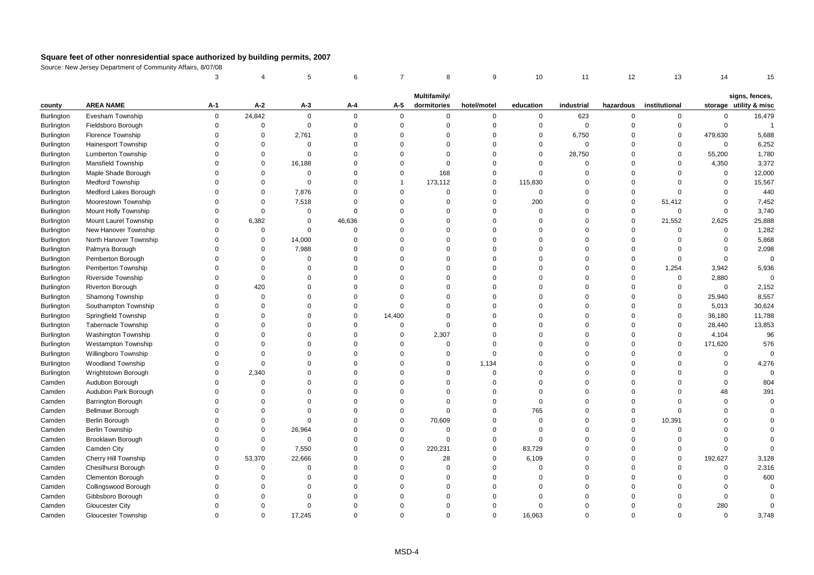|                   |                            | 3           |             | 5              | 6           | $\overline{7}$ | 8            | 9              | 10          | 11          | 12          | 13             | 14          | 15                                       |
|-------------------|----------------------------|-------------|-------------|----------------|-------------|----------------|--------------|----------------|-------------|-------------|-------------|----------------|-------------|------------------------------------------|
|                   |                            |             |             |                |             |                | Multifamily/ |                |             |             |             |                |             |                                          |
| county            | <b>AREA NAME</b>           | A-1         | $A-2$       | $A-3$          | A-4         | A-5            | dormitories  | hotel/motel    | education   | industrial  | hazardous   | institutional  |             | signs, fences,<br>storage utility & misc |
| Burlington        | Evesham Township           | 0           | 24,842      | $\mathbf 0$    | $\Omega$    | $\mathbf 0$    | 0            | $\mathbf 0$    | 0           | 623         | 0           | $\mathbf 0$    | $\Omega$    | 16,479                                   |
| <b>Burlington</b> | Fieldsboro Borough         | $\mathbf 0$ | $\mathbf 0$ | $\mathsf 0$    | $\Omega$    | $\mathsf 0$    | $\mathbf 0$  | $\overline{0}$ | $\mathsf 0$ | $\mathsf 0$ | $\Omega$    | 0              | $\mathbf 0$ | $\overline{1}$                           |
| Burlington        | Florence Township          | $\Omega$    | $\mathbf 0$ | 2,761          | $\Omega$    | $\Omega$       | $\Omega$     | $\Omega$       | $\mathbf 0$ | 6,750       | $\mathbf 0$ | $\mathbf 0$    | 479,630     | 5,688                                    |
| Burlington        | <b>Hainesport Township</b> | $\Omega$    | $\Omega$    | $\Omega$       | $\Omega$    | $\Omega$       | $\Omega$     | $\Omega$       | $\mathbf 0$ | $\mathbf 0$ | $\Omega$    | $\Omega$       | $\Omega$    | 6,252                                    |
| Burlington        | <b>Lumberton Township</b>  | $\Omega$    | $\Omega$    | $\mathbf 0$    | $\Omega$    | $\Omega$       | $\mathbf 0$  | $\Omega$       | $\mathbf 0$ | 28,750      | $\Omega$    | $\mathbf 0$    | 55,200      | 1,780                                    |
| Burlington        | <b>Mansfield Township</b>  | $\mathbf 0$ | $\mathbf 0$ | 16,188         | $\Omega$    | $\Omega$       | $\mathbf 0$  | $\overline{0}$ | $\mathbf 0$ | $\mathbf 0$ | $\Omega$    | $\mathbf 0$    | 4,350       | 3,372                                    |
| Burlington        | Maple Shade Borough        | $\mathbf 0$ | $\mathbf 0$ | $\overline{0}$ | $\Omega$    | $\mathbf 0$    | 168          | $\overline{0}$ | $\mathbf 0$ | $\mathbf 0$ | $\Omega$    | $\mathbf 0$    | $\mathsf 0$ | 12,000                                   |
| <b>Burlington</b> | <b>Medford Township</b>    | $\Omega$    | $\Omega$    | $\Omega$       | $\Omega$    | -1             | 173,112      | $\mathsf 0$    | 115,830     | $\Omega$    | $\Omega$    | $\Omega$       | $\Omega$    | 15,567                                   |
| Burlington        | Medford Lakes Borough      | $\Omega$    | 0           | 7,876          | $\Omega$    | $\Omega$       | 0            | $\mathbf 0$    | $\mathbf 0$ | $\Omega$    | $\Omega$    | $\Omega$       | $\Omega$    | 440                                      |
| Burlington        | Moorestown Township        | $\Omega$    | $\mathbf 0$ | 7,518          | $\Omega$    | $\Omega$       | $\mathbf 0$  | $\mathbf 0$    | 200         | $\Omega$    | $\mathbf 0$ | 51,412         | $\mathbf 0$ | 7,452                                    |
| <b>Burlington</b> | Mount Holly Township       | $\mathbf 0$ | $\mathbf 0$ | $\mathbf 0$    | $\Omega$    | $\Omega$       | 0            | $\overline{0}$ | $\Omega$    | $\mathbf 0$ | $\mathbf 0$ | $\mathbf 0$    | $\mathbf 0$ | 3,740                                    |
| Burlington        | Mount Laurel Township      | $\Omega$    | 6,382       | $\Omega$       | 46,636      | $\Omega$       | $\Omega$     | $\Omega$       | $\mathbf 0$ | $\Omega$    | $\Omega$    | 21,552         | 2,625       | 25,888                                   |
| Burlington        | New Hanover Township       | $\Omega$    | $\mathbf 0$ | $\Omega$       | $\Omega$    | $\Omega$       | $\Omega$     | $\Omega$       | $\Omega$    | $\Omega$    | $\Omega$    | $\Omega$       | $\Omega$    | 1,282                                    |
| Burlington        | North Hanover Township     | $\Omega$    | $\mathbf 0$ | 14,000         | $\Omega$    | $\Omega$       | $\Omega$     | $\Omega$       | $\Omega$    | $\Omega$    | $\Omega$    | $\Omega$       | $\Omega$    | 5,868                                    |
| Burlington        | Palmyra Borough            | $\Omega$    | $\mathbf 0$ | 7,988          | $\Omega$    | $\Omega$       | $\Omega$     | $\Omega$       | $\Omega$    | $\Omega$    | $\Omega$    | $\Omega$       | $\Omega$    | 2,098                                    |
| <b>Burlington</b> | Pemberton Borough          | $\Omega$    | $\Omega$    | $\Omega$       | $\Omega$    | $\Omega$       | $\Omega$     | $\Omega$       | $\Omega$    | $\Omega$    | $\mathbf 0$ | $\mathbf 0$    | $\mathbf 0$ | $\Omega$                                 |
| Burlington        | Pemberton Township         | $\Omega$    | $\Omega$    | $\Omega$       | $\Omega$    | $\Omega$       | $\Omega$     | $\Omega$       | $\Omega$    | $\Omega$    | $\Omega$    | 1,254          | 3,942       | 5,936                                    |
| Burlington        | Riverside Township         | $\Omega$    | $\mathbf 0$ | $\Omega$       | $\Omega$    | $\Omega$       | $\Omega$     | $\Omega$       | $\Omega$    | $\Omega$    | $\Omega$    | $\overline{0}$ | 2,880       | $\Omega$                                 |
| <b>Burlington</b> | <b>Riverton Borough</b>    | $\Omega$    | 420         | $\Omega$       | $\Omega$    | $\Omega$       | $\Omega$     | $\Omega$       | $\Omega$    | $\Omega$    | $\Omega$    | $\mathsf 0$    | $\Omega$    | 2,152                                    |
| Burlington        | Shamong Township           | $\Omega$    | $\mathbf 0$ | $\Omega$       | $\Omega$    | $\Omega$       | $\Omega$     | $\Omega$       | $\Omega$    | $\Omega$    | $\Omega$    | $\mathbf 0$    | 25,940      | 8,557                                    |
| <b>Burlington</b> | Southampton Township       | $\Omega$    | $\Omega$    | $\Omega$       | $\mathbf 0$ | $\Omega$       | $\Omega$     | $\Omega$       | $\Omega$    | $\Omega$    | $\Omega$    | $\Omega$       | 5,013       | 30,624                                   |
| Burlington        | Springfield Township       | $\mathbf 0$ | $\Omega$    | 0              | $\Omega$    | 14,400         | $\Omega$     | $\overline{0}$ | $\Omega$    | $\Omega$    | $\Omega$    | $\mathsf 0$    | 36,180      | 11,788                                   |
| Burlington        | <b>Tabernacle Township</b> | $\Omega$    | $\Omega$    | $\Omega$       | $\Omega$    | $\Omega$       | $\mathbf 0$  | $\Omega$       | $\Omega$    | $\Omega$    | $\Omega$    | $\Omega$       | 28,440      | 13,853                                   |
| Burlington        | <b>Washington Township</b> | $\Omega$    | $\Omega$    | $\Omega$       | $\Omega$    | $\Omega$       | 2,307        | $\Omega$       | $\Omega$    | $\Omega$    | $\Omega$    | $\Omega$       | 4,104       | 96                                       |
| Burlington        | <b>Westampton Township</b> | $\Omega$    | $\Omega$    | $\Omega$       | $\Omega$    | $\Omega$       | $\mathbf 0$  | $\Omega$       | $\Omega$    | $\Omega$    | $\Omega$    | $\mathbf 0$    | 171,620     | 576                                      |
| Burlington        | Willingboro Township       | $\mathbf 0$ | $\mathbf 0$ | 0              | $\mathbf 0$ | $\Omega$       | $\mathbf 0$  | $\overline{0}$ | $\Omega$    | $\mathbf 0$ | $\Omega$    | $\mathbf 0$    | $\Omega$    | $\Omega$                                 |
| <b>Burlington</b> | <b>Woodland Township</b>   | $\Omega$    | $\mathbf 0$ | $\Omega$       | $\Omega$    | $\Omega$       | $\mathbf 0$  | 1,134          | $\Omega$    | $\Omega$    | $\Omega$    | $\Omega$       | $\Omega$    | 4,276                                    |
| Burlington        | Wrightstown Borough        | $\mathbf 0$ | 2,340       | $\Omega$       | $\Omega$    | $\Omega$       | $\mathbf 0$  | $\Omega$       | $\Omega$    | $\Omega$    | $\Omega$    | $\Omega$       | $\Omega$    |                                          |
| Camden            | Audubon Borough            | $\Omega$    | $\Omega$    | $\Omega$       | $\Omega$    | $\Omega$       | $\Omega$     | $\Omega$       | $\Omega$    | $\Omega$    | $\Omega$    | $\Omega$       | $\Omega$    | 804                                      |
| Camden            | Audubon Park Borough       | $\Omega$    | $\Omega$    | $\Omega$       | $\Omega$    | $\Omega$       | $\Omega$     | $\Omega$       | $\Omega$    | $\Omega$    | $\Omega$    | $\Omega$       | 48          | 391                                      |
| Camden            | Barrington Borough         | $\Omega$    | $\Omega$    | $\Omega$       | $\Omega$    | $\Omega$       | $\mathbf 0$  | $\Omega$       | $\Omega$    | $\Omega$    | $\Omega$    | $\Omega$       | $\Omega$    | $\Omega$                                 |
| Camden            | <b>Bellmawr Borough</b>    | $\Omega$    | $\Omega$    | $\Omega$       | $\mathbf 0$ | $\Omega$       | $\mathbf 0$  | $\mathbf 0$    | 765         | $\Omega$    | $\mathbf 0$ | $\Omega$       | $\Omega$    | $\Omega$                                 |
| Camden            | Berlin Borough             | $\mathbf 0$ | $\mathbf 0$ | $\Omega$       | $\Omega$    | $\mathbf 0$    | 70,609       | $\overline{0}$ | $\Omega$    | $\mathbf 0$ | $\mathbf 0$ | 10,391         | $\Omega$    |                                          |
| Camden            | Berlin Township            | $\Omega$    | $\mathbf 0$ | 26,964         | $\Omega$    | $\mathbf 0$    | $\mathbf 0$  | $\overline{0}$ | $\Omega$    | $\Omega$    | $\Omega$    | $\mathbf 0$    | $\Omega$    |                                          |
| Camden            | Brooklawn Borough          | $\Omega$    | $\Omega$    | $\Omega$       | $\Omega$    | $\Omega$       | $\Omega$     | $\mathbf 0$    | $\Omega$    | $\Omega$    | $\Omega$    | $\Omega$       | $\Omega$    |                                          |
| Camden            | Camden City                | $\Omega$    | $\mathbf 0$ | 7,550          | $\mathbf 0$ | $\Omega$       | 220,231      | $\mathbf 0$    | 83,729      | $\Omega$    | $\Omega$    | $\Omega$       | $\Omega$    |                                          |
| Camden            | Cherry Hill Township       | $\mathbf 0$ | 53,370      | 22,666         | $\Omega$    | $\Omega$       | 28           | $\mathsf 0$    | 6,109       | $\Omega$    | $\Omega$    | $\mathsf 0$    | 192,627     | 3,128                                    |
| Camden            | Chesilhurst Borough        | $\mathbf 0$ | $\mathbf 0$ | $\mathbf 0$    | $\Omega$    | $\Omega$       | 0            | $\overline{0}$ | $\Omega$    | $\mathbf 0$ | $\Omega$    | $\Omega$       | $\mathbf 0$ | 2,316                                    |
| Camden            | <b>Clementon Borough</b>   | $\Omega$    | $\Omega$    | $\Omega$       | $\Omega$    | $\Omega$       | $\Omega$     | $\Omega$       | $\Omega$    | $\Omega$    | $\Omega$    | $\Omega$       | $\Omega$    | 600                                      |
| Camden            | Collingswood Borough       | $\Omega$    | $\Omega$    | $\Omega$       | $\Omega$    | $\Omega$       | $\Omega$     | $\Omega$       | $\Omega$    | $\Omega$    | $\Omega$    | O              | $\Omega$    | $\Omega$                                 |
| Camden            | Gibbsboro Borough          | $\Omega$    | $\Omega$    | $\Omega$       | $\Omega$    | $\Omega$       | $\Omega$     | $\Omega$       | $\Omega$    | $\Omega$    | $\Omega$    | $\Omega$       | $\Omega$    |                                          |
| Camden            | <b>Gloucester City</b>     | $\Omega$    | $\Omega$    | $\mathbf 0$    | $\Omega$    | $\Omega$       | $\Omega$     | $\Omega$       | $\Omega$    | $\Omega$    | $\Omega$    | $\Omega$       | 280         | $\Omega$                                 |
| Camden            | Gloucester Township        | $\Omega$    | $\Omega$    | 17,245         | $\Omega$    | $\Omega$       | $\Omega$     | $\Omega$       | 16,063      | $\Omega$    | $\Omega$    | $\Omega$       | $\Omega$    | 3,748                                    |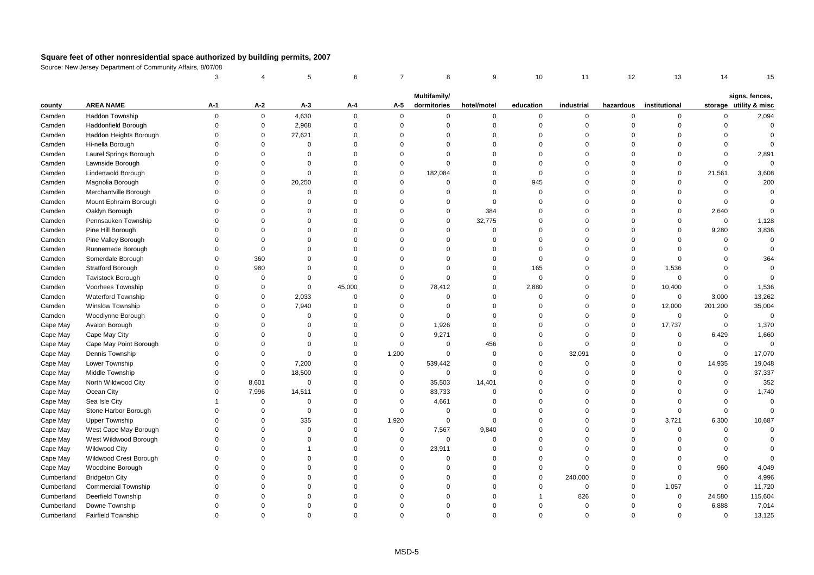|            |                            | 3            | Δ           | 5           | 6           | $\overline{7}$ | 8            | 9           | 10        | 11          | 12          | 13            | 14           | 15                     |
|------------|----------------------------|--------------|-------------|-------------|-------------|----------------|--------------|-------------|-----------|-------------|-------------|---------------|--------------|------------------------|
|            |                            |              |             |             |             |                | Multifamily/ |             |           |             |             |               |              | signs, fences,         |
| county     | <b>AREA NAME</b>           | A-1          | $A-2$       | $A-3$       | A-4         | A-5            | dormitories  | hotel/motel | education | industrial  | hazardous   | institutional |              | storage utility & misc |
| Camden     | Haddon Township            | $\mathbf 0$  | $\mathsf 0$ | 4,630       | $\Omega$    | $\mathbf{0}$   | $\Omega$     | $\mathbf 0$ | $\Omega$  | $\mathbf 0$ | $\Omega$    | $\Omega$      | $\Omega$     | 2,094                  |
| Camden     | Haddonfield Borough        | $\Omega$     | $\mathsf 0$ | 2,968       | $\Omega$    | $\mathbf 0$    | $\Omega$     | $\mathbf 0$ | $\Omega$  | $\mathbf 0$ | $\mathbf 0$ | $\Omega$      | $\Omega$     | $\Omega$               |
| Camden     | Haddon Heights Borough     | $\Omega$     | $\mathsf 0$ | 27,621      | $\Omega$    | $\Omega$       | $\Omega$     | $\mathbf 0$ | $\Omega$  | $\mathbf 0$ | $\Omega$    | $\Omega$      | $\Omega$     | $\Omega$               |
| Camden     | Hi-nella Borough           | $\Omega$     | $\mathbf 0$ | $\mathbf 0$ | $\Omega$    | $\Omega$       | $\Omega$     | $\mathbf 0$ | $\Omega$  | $\Omega$    | $\Omega$    | $\Omega$      | $\mathbf 0$  | $\Omega$               |
| Camden     | Laurel Springs Borough     | $\Omega$     | $\Omega$    | $\Omega$    | $\Omega$    | $\Omega$       | $\Omega$     | $\Omega$    | $\Omega$  | $\Omega$    | $\Omega$    | $\Omega$      | $\mathbf 0$  | 2,891                  |
| Camden     | Lawnside Borough           | $\Omega$     | $\Omega$    | $\Omega$    | $\Omega$    | $\Omega$       | $\Omega$     | $\mathbf 0$ | $\Omega$  | $\Omega$    | $\Omega$    | $\Omega$      | $\mathbf 0$  | $\mathbf 0$            |
| Camden     | Lindenwold Borough         | $\Omega$     | $\Omega$    | $\Omega$    | $\Omega$    | $\Omega$       | 182,084      | $\mathbf 0$ | $\Omega$  | $\Omega$    | $\Omega$    | $\Omega$      | 21,561       | 3,608                  |
| Camden     | Magnolia Borough           | $\Omega$     | $\mathbf 0$ | 20,250      | $\Omega$    | $\Omega$       | $\Omega$     | $\mathbf 0$ | 945       | $\Omega$    | $\Omega$    | $\Omega$      | $\mathbf 0$  | 200                    |
| Camden     | Merchantville Borough      | $\Omega$     | $\Omega$    | $\Omega$    | $\Omega$    | $\Omega$       | $\Omega$     | $\mathbf 0$ | $\Omega$  | $\Omega$    | $\Omega$    | $\Omega$      | $\mathbf 0$  | $\Omega$               |
| Camden     | Mount Ephraim Borough      | $\Omega$     | $\Omega$    | $\Omega$    | $\Omega$    | $\Omega$       | $\Omega$     | $\mathbf 0$ | $\Omega$  | $\Omega$    | $\Omega$    | $\mathbf 0$   | $\mathbf 0$  | $\Omega$               |
| Camden     | Oaklyn Borough             | $\Omega$     | $\Omega$    | $\Omega$    | $\Omega$    | $\Omega$       | $\Omega$     | 384         | $\Omega$  | $\mathbf 0$ | $\Omega$    | $\mathbf 0$   | 2,640        | $\Omega$               |
| Camden     | Pennsauken Township        | $\Omega$     | $\Omega$    | $\mathbf 0$ | $\Omega$    | $\Omega$       | $\Omega$     | 32,775      | $\Omega$  | $\Omega$    | $\Omega$    | $\mathbf 0$   | $\mathbf 0$  | 1,128                  |
| Camden     | Pine Hill Borough          | $\Omega$     | $\Omega$    | $\Omega$    | $\Omega$    | $\Omega$       | $\Omega$     | $\mathbf 0$ | $\Omega$  | $\Omega$    | $\Omega$    | $\Omega$      | 9,280        | 3,836                  |
| Camden     | Pine Valley Borough        | $\Omega$     | $\Omega$    | $\Omega$    | $\Omega$    | $\Omega$       | $\Omega$     | $\mathbf 0$ | $\Omega$  | $\Omega$    | $\Omega$    | $\Omega$      | $\mathbf{0}$ | $\Omega$               |
| Camden     | Runnemede Borough          | $\Omega$     | $\mathbf 0$ | $\Omega$    | $\Omega$    | $\Omega$       | $\Omega$     | $\mathbf 0$ | $\Omega$  | $\mathbf 0$ | $\Omega$    | $\mathbf 0$   | $\mathbf 0$  | $\mathbf{0}$           |
| Camden     | Somerdale Borough          | $\mathbf 0$  | 360         | $\Omega$    | $\Omega$    | $\Omega$       | $\Omega$     | $\mathbf 0$ | $\Omega$  | $\Omega$    | $\mathbf 0$ | $\mathbf 0$   | $\mathbf 0$  | 364                    |
| Camden     | Stratford Borough          | $\Omega$     | 980         | $\Omega$    | $\Omega$    | $\Omega$       | $\Omega$     | $\mathbf 0$ | 165       | $\Omega$    | $\Omega$    | 1,536         | $\Omega$     | $\mathsf 0$            |
| Camden     | <b>Tavistock Borough</b>   | $\Omega$     | $\Omega$    | $\Omega$    | $\Omega$    | $\Omega$       | $\Omega$     | $\mathbf 0$ | $\Omega$  | $\Omega$    | $\Omega$    | $\mathbf 0$   | $\Omega$     | $\Omega$               |
| Camden     | Voorhees Township          | $\Omega$     | $\mathbf 0$ | $\mathbf 0$ | 45,000      | $\Omega$       | 78,412       | $\mathbf 0$ | 2,880     | $\Omega$    | $\mathbf 0$ | 10,400        | $\mathbf 0$  | 1,536                  |
| Camden     | <b>Waterford Township</b>  | $\Omega$     | $\mathbf 0$ | 2,033       | $\Omega$    | $\Omega$       | $\Omega$     | $\mathbf 0$ | $\Omega$  | $\mathbf 0$ | $\mathbf 0$ | $\mathbf 0$   | 3,000        | 13,262                 |
| Camden     | <b>Winslow Township</b>    | $\Omega$     | $\mathbf 0$ | 7,940       | $\mathbf 0$ | $\Omega$       | $\mathbf 0$  | $\mathbf 0$ | $\Omega$  | $\mathbf 0$ | $\mathbf 0$ | 12,000        | 201,200      | 35,004                 |
| Camden     | Woodlynne Borough          | $\Omega$     | $\Omega$    | $\Omega$    | $\Omega$    | $\Omega$       | $\Omega$     | $\mathbf 0$ | $\Omega$  | $\mathbf 0$ | $\mathbf 0$ | $\mathbf 0$   | $\mathbf 0$  | $\mathbf 0$            |
| Cape May   | Avalon Borough             | $\Omega$     | $\Omega$    | $\Omega$    | $\Omega$    | $\Omega$       | 1,926        | $\mathbf 0$ | $\Omega$  | $\mathbf 0$ | $\Omega$    | 17,737        | $\mathbf 0$  | 1,370                  |
| Cape May   | Cape May City              | $\Omega$     | $\Omega$    | $\Omega$    | $\Omega$    | $\Omega$       | 9,271        | $\mathbf 0$ | $\Omega$  | $\mathbf 0$ | $\mathbf 0$ | $\mathbf 0$   | 6,429        | 1,660                  |
| Cape May   | Cape May Point Borough     | $\Omega$     | $\Omega$    | $\Omega$    | $\Omega$    | $\mathbf 0$    | $\Omega$     | 456         | $\Omega$  | $\mathbf 0$ | $\Omega$    | $\mathbf 0$   | $\mathbf 0$  | $\mathsf 0$            |
| Cape May   | Dennis Township            | $\Omega$     | $\Omega$    | $\Omega$    | $\Omega$    | 1,200          | $\Omega$     | $\Omega$    | $\Omega$  | 32,091      | $\Omega$    | $\mathbf 0$   | $\mathbf 0$  | 17,070                 |
| Cape May   | Lower Township             | $\Omega$     | $\mathbf 0$ | 7,200       | $\Omega$    | $\mathbf 0$    | 539,442      | $\Omega$    | $\Omega$  | $\mathbf 0$ | $\Omega$    | $\mathbf 0$   | 14,935       | 19,048                 |
| Cape May   | Middle Township            | $\Omega$     | $\mathbf 0$ | 18,500      | $\Omega$    | $\mathbf 0$    | $\mathbf 0$  | $\mathbf 0$ | $\Omega$  | $\mathbf 0$ | $\Omega$    | $\Omega$      | $\mathbf 0$  | 37,337                 |
| Cape May   | North Wildwood City        | $\Omega$     | 8,601       | $\mathbf 0$ | $\Omega$    | $\mathbf 0$    | 35,503       | 14,401      | $\Omega$  | $\Omega$    | $\Omega$    | $\Omega$      | $\mathbf 0$  | 352                    |
| Cape May   | Ocean City                 | $\Omega$     | 7,996       | 14,511      | $\Omega$    | $\mathbf 0$    | 83,733       | $\mathbf 0$ | $\Omega$  | $\mathbf 0$ | $\Omega$    | $\Omega$      | $\mathbf 0$  | 1,740                  |
| Cape May   | Sea Isle City              | $\mathbf{1}$ | $\Omega$    | $\mathbf 0$ | $\Omega$    | $\mathbf 0$    | 4,661        | $\mathbf 0$ | $\Omega$  | $\Omega$    | $\Omega$    | $\mathbf 0$   | $\Omega$     | $\Omega$               |
| Cape May   | Stone Harbor Borough       | $\Omega$     | $^{\circ}$  | $\mathbf 0$ | $\Omega$    | $\mathbf 0$    | $\mathbf 0$  | $\Omega$    | $\Omega$  | $\Omega$    | $\mathbf 0$ | $\mathbf 0$   | $\mathbf 0$  | $\mathbf 0$            |
| Cape May   | <b>Upper Township</b>      | $\Omega$     | $\Omega$    | 335         | $\Omega$    | 1,920          | $\mathbf 0$  | $\mathbf 0$ | $\Omega$  | $\mathbf 0$ | $\Omega$    | 3,721         | 6,300        | 10,687                 |
| Cape May   | West Cape May Borough      | $\Omega$     | $\Omega$    | $\Omega$    | $\Omega$    | $\mathsf 0$    | 7,567        | 9,840       | $\Omega$  | $\Omega$    | $\Omega$    | $\mathbf 0$   | $\Omega$     | $\Omega$               |
| Cape May   | West Wildwood Borough      | $\Omega$     | $\Omega$    | $\Omega$    | $\Omega$    | $\mathbf 0$    | $\Omega$     | $\mathbf 0$ | $\Omega$  | $\Omega$    | $\Omega$    | $\Omega$      | $\Omega$     | $\Omega$               |
| Cape May   | <b>Wildwood City</b>       | $\Omega$     | $\Omega$    | -1          | $\Omega$    | $\mathbf 0$    | 23,911       | $\mathbf 0$ | $\Omega$  | $\Omega$    | $\Omega$    | $\Omega$      | $\Omega$     | $\Omega$               |
| Cape May   | Wildwood Crest Borough     | $\Omega$     | $\Omega$    | $\Omega$    | $\Omega$    | $\Omega$       | $\mathbf 0$  | $\mathbf 0$ | $\Omega$  | $\Omega$    | $\Omega$    | $\mathbf 0$   | $\mathbf 0$  | $\Omega$               |
| Cape May   | Woodbine Borough           | $\mathbf 0$  | $\Omega$    | $\Omega$    | $\Omega$    | $\Omega$       | $\Omega$     | $\mathbf 0$ | $\Omega$  | $\mathbf 0$ | $\Omega$    | $\Omega$      | 960          | 4,049                  |
| Cumberland | <b>Bridgeton City</b>      | $\Omega$     | $\Omega$    | $\Omega$    | $\Omega$    | $\Omega$       | 0            | $\mathbf 0$ | $\Omega$  | 240,000     | $\Omega$    | $\mathbf 0$   | $\mathbf 0$  | 4,996                  |
| Cumberland | <b>Commercial Township</b> | $\Omega$     | $\Omega$    | $\Omega$    | $\Omega$    | $\Omega$       | $\Omega$     | $\Omega$    | $\Omega$  | $\mathbf 0$ | $\Omega$    | 1,057         | $\mathbf 0$  | 11,720                 |
| Cumberland | Deerfield Township         | $\Omega$     | $\Omega$    | $\mathbf 0$ | $\Omega$    | $\Omega$       | 0            | $\Omega$    |           | 826         | $\Omega$    | $\mathbf 0$   | 24,580       | 115,604                |
| Cumberland | Downe Township             | $\Omega$     | $\Omega$    | $\Omega$    | $\Omega$    | $\Omega$       | $\Omega$     | $\Omega$    | $\Omega$  | $\mathbf 0$ | $\Omega$    | $\mathbf 0$   | 6,888        | 7,014                  |
| Cumberland | <b>Fairfield Township</b>  | $\Omega$     | $\Omega$    | $\Omega$    | $\Omega$    | $\Omega$       | $\Omega$     | $\Omega$    | $\Omega$  | $\Omega$    | $\Omega$    | $\Omega$      | $\Omega$     | 13,125                 |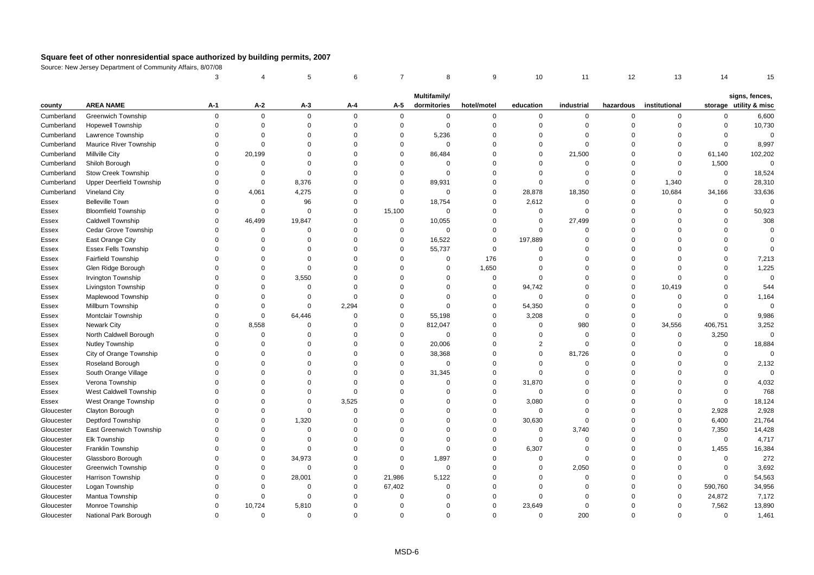|            |                                 | 3        |             | 5           | 6              | $\overline{7}$ | 8            | 9              | 10             | 11           | 12          | 13             | 14          | 15                     |
|------------|---------------------------------|----------|-------------|-------------|----------------|----------------|--------------|----------------|----------------|--------------|-------------|----------------|-------------|------------------------|
|            |                                 |          |             |             |                |                | Multifamily/ |                |                |              |             |                |             | signs, fences,         |
| county     | <b>AREA NAME</b>                | A-1      | $A-2$       | $A-3$       | A-4            | A-5            | dormitories  | hotel/motel    | education      | industrial   | hazardous   | institutional  |             | storage utility & misc |
| Cumberland | <b>Greenwich Township</b>       | $\Omega$ | 0           | 0           | $\mathbf 0$    | $\mathbf 0$    | $\mathbf 0$  | $\mathbf 0$    | $\mathbf 0$    | $\mathbf 0$  | $\mathbf 0$ | 0              | $\Omega$    | 6,600                  |
| Cumberland | <b>Hopewell Township</b>        | $\Omega$ | $\mathbf 0$ | $\Omega$    | $\mathbf 0$    | $\mathbf{0}$   | $\mathbf 0$  | $\mathbf 0$    | $\Omega$       | $\Omega$     | $\Omega$    | $\Omega$       | $\Omega$    | 10,730                 |
| Cumberland | Lawrence Township               | $\Omega$ | $\Omega$    | $\Omega$    | $\mathbf 0$    | $\Omega$       | 5,236        | $\Omega$       | $\Omega$       | $\Omega$     | $\Omega$    | $\Omega$       | $\Omega$    | $\Omega$               |
| Cumberland | Maurice River Township          | $\Omega$ | $\Omega$    | $\Omega$    | $\mathbf 0$    | $\mathbf 0$    | $\mathbf 0$  | $\Omega$       | $\mathbf 0$    | $\Omega$     | $\Omega$    | $\Omega$       | $\mathbf 0$ | 8,997                  |
| Cumberland | <b>Millville City</b>           | $\Omega$ | 20,199      | $\Omega$    | $\mathbf 0$    | $\Omega$       | 86,484       | $\Omega$       | $\mathbf 0$    | 21,500       | $\Omega$    | $\mathbf 0$    | 61,140      | 102,202                |
| Cumberland | Shiloh Borough                  | $\Omega$ | $\Omega$    | $\Omega$    | $\mathbf 0$    | $\Omega$       | $\mathbf 0$  | $\Omega$       | $\Omega$       | $\mathbf 0$  | $\Omega$    | $\mathbf 0$    | 1,500       | $\Omega$               |
| Cumberland | <b>Stow Creek Township</b>      | $\Omega$ | 0           | $\Omega$    | $\mathbf 0$    | $\mathbf 0$    | $\mathbf 0$  | $\Omega$       | $\mathbf 0$    | $\mathbf 0$  | $\Omega$    | $\mathbf 0$    | 0           | 18,524                 |
| Cumberland | <b>Upper Deerfield Township</b> | $\Omega$ | $\Omega$    | 8,376       | $\mathbf 0$    | $\Omega$       | 89,931       | $\Omega$       | $\mathbf 0$    | $\mathbf 0$  | $\Omega$    | 1,340          | $\Omega$    | 28,310                 |
| Cumberland | Vineland City                   | $\Omega$ | 4,061       | 4,275       | $\mathbf 0$    | $\mathbf 0$    | $\mathbf 0$  | $\mathbf 0$    | 28,878         | 18,350       | $\Omega$    | 10,684         | 34,166      | 33,636                 |
| Essex      | <b>Belleville Town</b>          | $\Omega$ | $\mathbf 0$ | 96          | $\mathbf 0$    | $\Omega$       | 18,754       | $\Omega$       | 2,612          | $\mathbf{0}$ | $\Omega$    | $\mathbf 0$    | $\mathbf 0$ | $\Omega$               |
| Essex      | <b>Bloomfield Township</b>      | $\Omega$ | $\mathbf 0$ | $\Omega$    | $\mathbf 0$    | 15,100         | $\mathbf 0$  | $\mathbf 0$    | $\mathbf 0$    | $\mathbf 0$  | $\Omega$    | $\mathbf 0$    | $\Omega$    | 50,923                 |
| Essex      | Caldwell Township               | $\Omega$ | 46,499      | 19,847      | $\mathbf 0$    | $\mathbf 0$    | 10,055       | $\mathsf 0$    | $\mathbf 0$    | 27,499       | $\Omega$    | $\Omega$       | $\Omega$    | 308                    |
| Essex      | Cedar Grove Township            | $\Omega$ | $\mathbf 0$ | $\mathbf 0$ | $\mathbf 0$    | $\mathbf 0$    | $\mathbf 0$  | $\mathsf 0$    | $\mathbf 0$    | $\mathbf 0$  | $\Omega$    | $\Omega$       | $\Omega$    | $\mathbf 0$            |
| Essex      | East Orange City                | $\Omega$ | $\Omega$    | $\Omega$    | $\Omega$       | $\Omega$       | 16,522       | $\Omega$       | 197,889        | $\Omega$     | $\Omega$    | $\Omega$       | $\Omega$    | $\Omega$               |
| Essex      | <b>Essex Fells Township</b>     | $\Omega$ | $\Omega$    | $\Omega$    | $\Omega$       | $\Omega$       | 55,737       | $\mathbf 0$    | $\Omega$       | $\Omega$     | $\Omega$    | $\Omega$       | $\Omega$    | $\Omega$               |
| Essex      | <b>Fairfield Township</b>       | $\Omega$ | $\Omega$    | $\Omega$    | $\mathbf 0$    | $\Omega$       | $\mathbf 0$  | 176            | $\mathbf 0$    | $\Omega$     | $\Omega$    | $\Omega$       | $\Omega$    | 7,213                  |
| Essex      | Glen Ridge Borough              | $\Omega$ | $\Omega$    | $\mathbf 0$ | $\mathbf 0$    | $\Omega$       | $\mathbf 0$  | 1,650          | $\Omega$       | $\Omega$     | $\Omega$    | $\Omega$       | $\Omega$    | 1,225                  |
| Essex      | <b>Irvington Township</b>       | $\Omega$ | $\mathbf 0$ | 3,550       | $\mathbf 0$    | $\Omega$       | $\mathbf 0$  | $\mathsf 0$    | $\Omega$       | $\mathbf 0$  | $\Omega$    | $\Omega$       | $\Omega$    | $\mathbf 0$            |
| Essex      | Livingston Township             | $\Omega$ | $\Omega$    | $\Omega$    | $\Omega$       | $\Omega$       | $\mathbf 0$  | $\Omega$       | 94,742         | $\Omega$     | $\Omega$    | 10,419         | $\Omega$    | 544                    |
| Essex      | Maplewood Township              | $\Omega$ | $\Omega$    | $\Omega$    | $\Omega$       | $\Omega$       | $\Omega$     | $\Omega$       | $\mathbf 0$    | $\Omega$     | $\Omega$    | $\Omega$       | $\Omega$    | 1,164                  |
| Essex      | Millburn Township               | $\Omega$ | $\Omega$    | $\Omega$    | 2,294          | $\Omega$       | $\mathbf 0$  | $\mathbf 0$    | 54,350         | $\Omega$     | $\Omega$    | $\mathbf 0$    | $\Omega$    | $\Omega$               |
| Essex      | Montclair Township              | $\Omega$ | $\mathsf 0$ | 64,446      | $\mathbf 0$    | $\Omega$       | 55,198       | $\mathbf 0$    | 3,208          | $\Omega$     | $\Omega$    | $\mathbf 0$    | $\Omega$    | 9,986                  |
| Essex      | <b>Newark City</b>              | $\Omega$ | 8,558       | $\mathbf 0$ | $\overline{0}$ | 0              | 812,047      | $\mathbf 0$    | $\mathbf 0$    | 980          | 0           | 34,556         | 406,751     | 3,252                  |
| Essex      | North Caldwell Borough          | $\Omega$ | $\Omega$    | $\Omega$    | $\Omega$       | $\Omega$       | $\mathbf 0$  | $\Omega$       | $\mathbf 0$    | $\mathbf 0$  | $\Omega$    | $\overline{0}$ | 3,250       | $\mathbf 0$            |
| Essex      | Nutley Township                 | $\Omega$ | $\Omega$    | $\Omega$    | $\mathbf 0$    | $\Omega$       | 20,006       | $\Omega$       | $\overline{2}$ | $\Omega$     | $\Omega$    | $\Omega$       | $\Omega$    | 18,884                 |
| Essex      | City of Orange Township         | $\Omega$ | $\Omega$    | $\Omega$    | $\mathbf 0$    | 0              | 38,368       | $\Omega$       | $\mathbf 0$    | 81,726       | $\Omega$    | $\Omega$       | $\Omega$    | $\Omega$               |
| Essex      | Roseland Borough                | $\Omega$ | $\Omega$    | $\Omega$    | $\mathbf 0$    | $\mathbf 0$    | $\mathbf 0$  | $\Omega$       | $\mathbf 0$    | $\mathbf 0$  | $\Omega$    | $\Omega$       | $\mathbf 0$ | 2,132                  |
| Essex      | South Orange Village            | $\Omega$ | $\Omega$    | $\Omega$    | $\Omega$       | $\Omega$       | 31,345       | $\Omega$       | $\Omega$       | $\Omega$     | $\Omega$    | $\Omega$       | $\Omega$    | $\Omega$               |
| Essex      | Verona Township                 | $\Omega$ | $\Omega$    | $\Omega$    | $\Omega$       | $\Omega$       | $\mathbf 0$  | $\mathbf 0$    | 31,870         | $\Omega$     | $\Omega$    | $\Omega$       | $\Omega$    | 4,032                  |
| Essex      | West Caldwell Township          | $\Omega$ | $\Omega$    | $\Omega$    | $\mathbf 0$    | $\Omega$       | $\mathbf 0$  | $\mathbf 0$    | $\mathbf 0$    | $\Omega$     | $\Omega$    | $\Omega$       | $\Omega$    | 768                    |
| Essex      | West Orange Township            | $\Omega$ | $\Omega$    | $\Omega$    | 3,525          | $\Omega$       | $\Omega$     | $\mathbf 0$    | 3,080          | $\Omega$     | $\Omega$    | $\Omega$       | $\mathbf 0$ | 18,124                 |
| Gloucester | Clayton Borough                 | $\Omega$ | $\Omega$    | $\Omega$    | $\mathbf 0$    | $\Omega$       | $\mathbf 0$  | $\mathbf 0$    | $\mathbf 0$    | $\mathbf 0$  | $\Omega$    | $\Omega$       | 2,928       | 2,928                  |
| Gloucester | <b>Deptford Township</b>        | $\Omega$ | $\Omega$    | 1,320       | $\Omega$       | $\Omega$       | $\Omega$     | $\mathbf 0$    | 30,630         | $\mathbf 0$  | $\Omega$    | $\Omega$       | 6,400       | 21,764                 |
| Gloucester | East Greenwich Township         | $\Omega$ | $\Omega$    | $\Omega$    | $\mathbf 0$    | $\Omega$       | $\mathbf 0$  | $\overline{0}$ | $\mathbf 0$    | 3,740        | $\Omega$    | $\Omega$       | 7,350       | 14,428                 |
| Gloucester | <b>Elk Township</b>             | $\Omega$ | $\Omega$    | $\Omega$    | $\mathbf 0$    | $\Omega$       | $\mathbf 0$  | $\mathbf 0$    | $\mathbf 0$    | $\Omega$     | $\Omega$    | $\Omega$       | $\mathbf 0$ | 4,717                  |
| Gloucester | Franklin Township               | $\Omega$ | $\Omega$    | $\Omega$    | $\mathbf 0$    | $\Omega$       | $\mathbf 0$  | $\mathbf 0$    | 6,307          | $\Omega$     | $\Omega$    | $\Omega$       | 1,455       | 16,384                 |
| Gloucester | Glassboro Borough               | $\Omega$ | 0           | 34,973      | $\mathbf 0$    | $\mathbf 0$    | 1,897        | $\Omega$       | $\mathbf 0$    | $\mathbf 0$  | $\Omega$    | $\Omega$       | $\mathbf 0$ | 272                    |
| Gloucester | <b>Greenwich Township</b>       | $\Omega$ | $\Omega$    | $\Omega$    | $\mathbf 0$    | $\Omega$       | $\mathbf 0$  | $\Omega$       | $\mathbf 0$    | 2,050        | $\Omega$    | $\Omega$       | $\mathbf 0$ | 3,692                  |
| Gloucester | Harrison Township               | $\Omega$ | $\Omega$    | 28,001      | $\mathbf 0$    | 21,986         | 5,122        | $\Omega$       | $\mathbf 0$    | $\Omega$     | $\Omega$    | $\mathbf 0$    | $\mathbf 0$ | 54,563                 |
| Gloucester | Logan Township                  | $\Omega$ | $\Omega$    | 0           | $\mathbf 0$    | 67,402         | $\mathbf 0$  | $\Omega$       | $\Omega$       | $\mathbf 0$  | $\Omega$    | $\Omega$       | 590,760     | 34,956                 |
| Gloucester | Mantua Township                 | $\Omega$ | $\mathbf 0$ | $\Omega$    | $\Omega$       | $\Omega$       | $\Omega$     | $\Omega$       | $\mathbf 0$    | $\Omega$     | $\Omega$    | $\Omega$       | 24,872      | 7,172                  |
| Gloucester | Monroe Township                 | $\Omega$ | 10,724      | 5,810       | $\Omega$       | $\Omega$       | $\Omega$     | $\Omega$       | 23,649         | $\Omega$     | U           | $\Omega$       | 7,562       | 13,890                 |
| Gloucester | National Park Borough           | $\Omega$ | $\Omega$    | $\mathbf 0$ | $\mathbf 0$    | $\Omega$       | $\mathbf 0$  | $\Omega$       | $\mathbf 0$    | 200          | $\Omega$    | $\Omega$       | $\Omega$    | 1,461                  |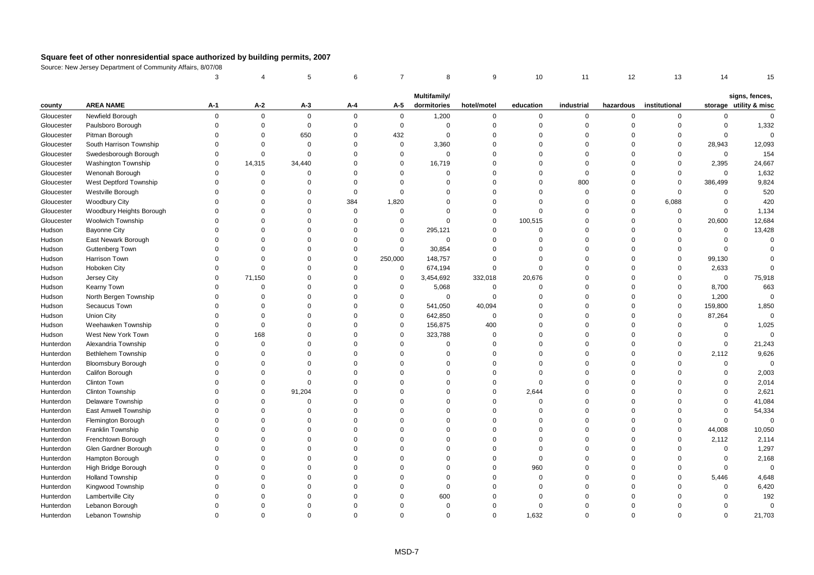|            |                           | 3           |             | 5           | 6        | $\overline{7}$ | 8            | 9              | 10          | 11          | 12             | 13            | 14          | 15                     |
|------------|---------------------------|-------------|-------------|-------------|----------|----------------|--------------|----------------|-------------|-------------|----------------|---------------|-------------|------------------------|
|            |                           |             |             |             |          |                | Multifamily/ |                |             |             |                |               |             | signs, fences,         |
| county     | <b>AREA NAME</b>          | A-1         | A-2         | A-3         | A-4      | A-5            | dormitories  | hotel/motel    | education   | industrial  | hazardous      | institutional |             | storage utility & misc |
| Gloucester | Newfield Borough          | $\mathbf 0$ | $\mathbf 0$ | $\mathbf 0$ | $\Omega$ | $\overline{0}$ | 1,200        | $\mathbf 0$    | $\mathbf 0$ | 0           | $\mathbf 0$    | $\mathbf 0$   | $\mathbf 0$ | $\mathbf 0$            |
| Gloucester | Paulsboro Borough         | $\Omega$    | $\mathsf 0$ | $\mathbf 0$ | $\Omega$ | $\mathbf 0$    | $\mathbf 0$  | $\mathbf 0$    | $\mathbf 0$ | $\mathbf 0$ | $\overline{0}$ | $\mathbf 0$   | $\mathsf 0$ | 1,332                  |
| Gloucester | Pitman Borough            | $\Omega$    | $\mathbf 0$ | 650         | $\Omega$ | 432            | $\Omega$     | $\mathbf 0$    | $\Omega$    | $\mathbf 0$ | $\Omega$       | $\Omega$      | $\mathbf 0$ | $\Omega$               |
| Gloucester | South Harrison Township   | $\Omega$    | $\Omega$    | $\Omega$    | $\Omega$ | $\mathbf 0$    | 3,360        | $\mathbf 0$    | $\Omega$    | $\Omega$    | $\Omega$       | $\Omega$      | 28,943      | 12,093                 |
| Gloucester | Swedesborough Borough     | $\Omega$    | $\mathsf 0$ | $\mathbf 0$ | $\Omega$ | $\mathsf 0$    | $\mathbf 0$  | $\mathbf 0$    | $\Omega$    | $\mathbf 0$ | $\Omega$       | $\Omega$      | $\mathsf 0$ | 154                    |
| Gloucester | Washington Township       | $\mathbf 0$ | 14,315      | 34,440      | $\Omega$ | $\mathbf 0$    | 16,719       | $\mathbf 0$    | $\Omega$    | $\mathbf 0$ | $\Omega$       | $\mathbf 0$   | 2,395       | 24,667                 |
| Gloucester | Wenonah Borough           | $\Omega$    | $\Omega$    | $\Omega$    | $\Omega$ | $\Omega$       | $\Omega$     | $\mathbf 0$    | $\Omega$    | $\mathbf 0$ | $\Omega$       | $\Omega$      | $\mathsf 0$ | 1,632                  |
| Gloucester | West Deptford Township    | $\Omega$    | $\Omega$    | $\Omega$    | $\Omega$ | $\Omega$       | $\Omega$     | $\mathbf 0$    | $\Omega$    | 800         | $\Omega$       | $\mathbf 0$   | 386,499     | 9,824                  |
| Gloucester | Westville Borough         | $\Omega$    | $\Omega$    | $\Omega$    | $\Omega$ | $\Omega$       | $\Omega$     | $\mathbf 0$    | $\Omega$    | $\Omega$    | $\overline{0}$ | $\Omega$      | $\Omega$    | 520                    |
| Gloucester | <b>Woodbury City</b>      | $\Omega$    | $\Omega$    | $\Omega$    | 384      | 1,820          | $\Omega$     | $\mathbf 0$    | $\Omega$    | $\mathbf 0$ | $\Omega$       | 6,088         | $\mathsf 0$ | 420                    |
| Gloucester | Woodbury Heights Borough  | $\Omega$    | $\Omega$    | $\Omega$    | $\Omega$ | $\mathbf 0$    | $\Omega$     | $\mathbf 0$    | $\Omega$    | $\mathbf 0$ | $\Omega$       | $\mathbf 0$   | $\mathbf 0$ | 1,134                  |
| Gloucester | <b>Woolwich Township</b>  | $\Omega$    | $\Omega$    | $\Omega$    | $\Omega$ | $\mathbf 0$    | $\Omega$     | $\mathbf 0$    | 100,515     | $\Omega$    | $\overline{0}$ | $\mathbf 0$   | 20,600      | 12,684                 |
| Hudson     | <b>Bayonne City</b>       | $\Omega$    | $\Omega$    | $\Omega$    | $\Omega$ | $\mathbf 0$    | 295,121      | $\mathbf 0$    | $\mathbf 0$ | $\Omega$    | $\Omega$       | $\Omega$      | $\mathsf 0$ | 13,428                 |
| Hudson     | East Newark Borough       | $\Omega$    | $\Omega$    | $\Omega$    | $\Omega$ | $\mathbf 0$    | $\Omega$     | $\mathbf 0$    | $\Omega$    | $\Omega$    | $\Omega$       | $\Omega$      | $\mathbf 0$ | $\Omega$               |
| Hudson     | Guttenberg Town           | $\Omega$    | $\Omega$    | $\Omega$    | $\Omega$ | $\mathbf 0$    | 30,854       | $\mathbf 0$    | $\Omega$    | $\mathbf 0$ | $\Omega$       | $\Omega$      | $\mathbf 0$ | $\Omega$               |
| Hudson     | Harrison Town             | $\Omega$    | $\mathbf 0$ | $\mathbf 0$ | $\Omega$ | 250,000        | 148,757      | $\mathbf 0$    | $\Omega$    | $\mathbf 0$ | $\Omega$       | $\mathbf 0$   | 99,130      | $\Omega$               |
| Hudson     | Hoboken City              | $\Omega$    | $\mathbf 0$ | $\Omega$    | $\Omega$ | $\mathsf 0$    | 674,194      | $\mathbf 0$    | $\mathbf 0$ | 0           | $\Omega$       | $\mathbf 0$   | 2,633       | $\Omega$               |
| Hudson     | Jersey City               | $\Omega$    | 71,150      | $\Omega$    | $\Omega$ | $\mathbf 0$    | 3,454,692    | 332,018        | 20,676      | $\Omega$    | $\Omega$       | $\Omega$      | $\mathsf 0$ | 75,918                 |
| Hudson     | Kearny Town               | $\Omega$    | $\Omega$    | $\Omega$    | $\Omega$ | $\mathbf 0$    | 5,068        | $\mathbf 0$    | $\Omega$    | $\Omega$    | $\Omega$       | $\mathbf 0$   | 8,700       | 663                    |
| Hudson     | North Bergen Township     | $\Omega$    | $\Omega$    | $\Omega$    | $\Omega$ | $\mathbf 0$    | $\mathbf 0$  | $\mathbf 0$    | $\Omega$    | $\Omega$    | $\Omega$       | $\mathbf 0$   | 1,200       | $\mathsf 0$            |
| Hudson     | Secaucus Town             | $\Omega$    | $\Omega$    | $\Omega$    | $\Omega$ | $\mathbf 0$    | 541,050      | 40,094         | $\Omega$    | $\Omega$    | $\Omega$       | $\mathbf 0$   | 159,800     | 1,850                  |
| Hudson     | Union City                | $\Omega$    | $\Omega$    | $\Omega$    | $\Omega$ | $\mathbf 0$    | 642,850      | $\Omega$       | $\Omega$    | $\Omega$    | $\Omega$       | $\mathbf 0$   | 87,264      | $\mathbf 0$            |
| Hudson     | Weehawken Township        | $\Omega$    | $\Omega$    | $\Omega$    | $\Omega$ | $\mathbf 0$    | 156,875      | 400            | $\Omega$    | $\mathbf 0$ | $\Omega$       | 0             | $\mathsf 0$ | 1,025                  |
| Hudson     | West New York Town        | $\Omega$    | 168         | $\Omega$    | $\Omega$ | $\mathbf 0$    | 323,788      | $\overline{0}$ | $\Omega$    | $\Omega$    | $\Omega$       | $\Omega$      | $\mathsf 0$ | $\mathbf 0$            |
| Hunterdon  | Alexandria Township       | $\Omega$    | $\mathbf 0$ | $\Omega$    | $\Omega$ | $\Omega$       | $\Omega$     | $\Omega$       | $\Omega$    | $\Omega$    | $\Omega$       | $\Omega$      | $\mathbf 0$ | 21,243                 |
| Hunterdon  | Bethlehem Township        | $\Omega$    | $\mathbf 0$ | $\Omega$    | $\Omega$ | $\Omega$       | $\Omega$     | $\mathbf 0$    | $\Omega$    | $\Omega$    | $\Omega$       | $\Omega$      | 2,112       | 9,626                  |
| Hunterdon  | <b>Bloomsbury Borough</b> | $\Omega$    | $\Omega$    | $\Omega$    | $\Omega$ | $\Omega$       | $\Omega$     | $\mathbf 0$    | $\Omega$    | $\Omega$    | $\Omega$       | $\Omega$      | $\mathsf 0$ | $\mathsf 0$            |
| Hunterdon  | Califon Borough           | $\Omega$    | $\Omega$    | $\Omega$    | $\Omega$ | $\Omega$       | $\Omega$     | $\mathbf 0$    | $\Omega$    | $\Omega$    | $\Omega$       | $\Omega$      | $\Omega$    | 2,003                  |
| Hunterdon  | Clinton Town              | $\Omega$    | $\Omega$    | $\Omega$    | $\Omega$ | $\Omega$       | 0            | $\mathbf 0$    | $\Omega$    | $\Omega$    | $\Omega$       | $\Omega$      | $\Omega$    | 2,014                  |
| Hunterdon  | Clinton Township          | $\Omega$    | $\Omega$    | 91,204      | $\Omega$ | $\Omega$       | $\Omega$     | $\mathbf 0$    | 2,644       | $\Omega$    | $\Omega$       | $\Omega$      | $\Omega$    | 2,621                  |
| Hunterdon  | Delaware Township         | $\Omega$    | $\mathbf 0$ | $\mathbf 0$ | $\Omega$ | $\Omega$       | $\Omega$     | $\mathbf 0$    | $\mathbf 0$ | 0           | $\Omega$       | $\Omega$      | $\mathbf 0$ | 41,084                 |
| Hunterdon  | East Amwell Township      | $\Omega$    | $\Omega$    | $\Omega$    | $\Omega$ | $\Omega$       | $\Omega$     | $\mathbf 0$    | $\Omega$    | $\Omega$    | $\Omega$       | $\Omega$      | $\Omega$    | 54,334                 |
| Hunterdon  | Flemington Borough        | $\Omega$    | $\Omega$    | $\Omega$    | $\Omega$ | $\Omega$       | $\Omega$     | $\mathbf 0$    | $\Omega$    | $\mathbf 0$ | $\Omega$       | $\Omega$      | $\mathbf 0$ | $\mathbf 0$            |
| Hunterdon  | Franklin Township         | $\Omega$    | $\Omega$    | $\Omega$    | $\Omega$ | $\Omega$       | $\Omega$     | $\Omega$       | $\Omega$    | $\Omega$    | $\Omega$       | $\mathbf 0$   | 44,008      | 10,050                 |
| Hunterdon  | Frenchtown Borough        | $\Omega$    | $\Omega$    | $\Omega$    | $\Omega$ | $\Omega$       | $\Omega$     | $\mathbf 0$    | $\Omega$    | $\Omega$    | $\Omega$       | $\mathbf 0$   | 2,112       | 2,114                  |
| Hunterdon  | Glen Gardner Borough      | $\Omega$    | $\Omega$    | $\Omega$    | $\Omega$ | $\Omega$       | $\Omega$     | $\mathbf 0$    | $\Omega$    | $\Omega$    | $\Omega$       | $\Omega$      | $\mathsf 0$ | 1,297                  |
| Hunterdon  | Hampton Borough           | $\Omega$    | $\Omega$    | $\Omega$    | $\Omega$ | $\Omega$       | $\Omega$     | $\mathbf 0$    | $\mathbf 0$ | $\Omega$    | $\Omega$       | $\Omega$      | $\mathsf 0$ | 2,168                  |
| Hunterdon  | High Bridge Borough       | $\Omega$    | $\Omega$    | $\Omega$    | $\Omega$ | $\Omega$       | $\Omega$     | $\mathbf 0$    | 960         | 0           | $\Omega$       | $\Omega$      | $\mathsf 0$ | $\mathbf 0$            |
| Hunterdon  | <b>Holland Township</b>   | $\Omega$    | $\Omega$    | $\Omega$    | $\Omega$ | $\Omega$       | $\Omega$     | $\Omega$       | $\Omega$    | $\Omega$    | $\Omega$       | $\Omega$      | 5,446       | 4,648                  |
| Hunterdon  | Kingwood Township         | $\Omega$    | $\Omega$    | $\Omega$    | $\Omega$ | $\Omega$       | $\Omega$     | $\mathbf 0$    | $\Omega$    | $\Omega$    | $\Omega$       | $\Omega$      | $\mathbf 0$ | 6,420                  |
| Hunterdon  | Lambertville City         | $\Omega$    | $\Omega$    | $\Omega$    | $\Omega$ | $\Omega$       | 600          | $\mathbf 0$    | $\Omega$    | $\Omega$    | $\Omega$       | $\Omega$      | $\Omega$    | 192                    |
| Hunterdon  | Lebanon Borough           | $\Omega$    | $\Omega$    | $\Omega$    | $\Omega$ | $\Omega$       | $\Omega$     | $\mathbf 0$    | $\Omega$    | $\Omega$    | $\Omega$       | $\Omega$      | $\Omega$    | $\mathbf 0$            |
| Hunterdon  | Lebanon Township          | $\Omega$    | $\Omega$    | $\Omega$    | $\Omega$ | $\Omega$       | $\Omega$     | $\Omega$       | 1,632       | $\Omega$    | $\Omega$       | $\Omega$      | $\Omega$    | 21,703                 |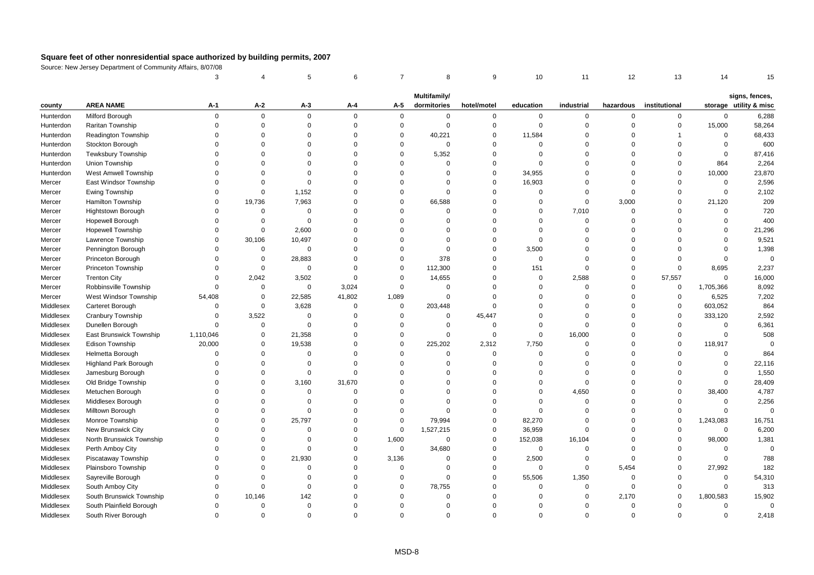|           |                              | 3           |             | 5              | 6              | $\overline{7}$ | 8                           | 9                | 10          | 11          | 12          | 13            | 14          | 15                                       |
|-----------|------------------------------|-------------|-------------|----------------|----------------|----------------|-----------------------------|------------------|-------------|-------------|-------------|---------------|-------------|------------------------------------------|
|           |                              |             |             |                |                |                |                             |                  |             |             |             |               |             |                                          |
| county    | <b>AREA NAME</b>             | A-1         | $A-2$       | A-3            | A-4            | A-5            | Multifamily/<br>dormitories | hotel/motel      | education   | industrial  | hazardous   | institutional |             | signs, fences,<br>storage utility & misc |
| Hunterdon | Milford Borough              | $\mathbf 0$ | $\mathbf 0$ | $\mathbf 0$    | $\Omega$       | $\mathbf 0$    | $\mathbf 0$                 | $\mathbf 0$      | 0           | $\mathbf 0$ | 0           | $\mathbf 0$   | $\mathbf 0$ | 6,288                                    |
| Hunterdon | Raritan Township             | $\mathbf 0$ | $\mathbf 0$ | $\mathbf 0$    | $\Omega$       | $\mathsf 0$    | $\mathbf 0$                 | $\boldsymbol{0}$ | $\mathbf 0$ | $\mathbf 0$ | $\Omega$    | $\mathbf 0$   | 15,000      | 58,264                                   |
| Hunterdon | Readington Township          | $\mathbf 0$ | $\mathbf 0$ | $\mathbf 0$    | $\Omega$       | $\mathbf 0$    | 40,221                      | $\mathsf 0$      | 11,584      | $\mathbf 0$ | $\Omega$    |               | $\mathbf 0$ | 68,433                                   |
| Hunterdon | Stockton Borough             | $\Omega$    | $\Omega$    | $\Omega$       | $\Omega$       | $\Omega$       | $\mathbf 0$                 | $\Omega$         | $\Omega$    | $\Omega$    | $\Omega$    | $\Omega$      | $\Omega$    | 600                                      |
| Hunterdon | <b>Tewksbury Township</b>    | $\Omega$    | $\Omega$    | $\Omega$       | $\Omega$       | $\Omega$       | 5,352                       | $\mathbf 0$      | $\Omega$    | $\Omega$    | $\Omega$    | $\Omega$      | $\mathbf 0$ | 87,416                                   |
| Hunterdon | Union Township               | $\Omega$    | $\Omega$    | $\mathbf 0$    | $\mathbf 0$    | $\Omega$       | $\mathbf 0$                 | $\mathsf 0$      | $\mathbf 0$ | $\mathbf 0$ | $\Omega$    | $\Omega$      | 864         | 2,264                                    |
| Hunterdon | West Amwell Township         | $\Omega$    | $\Omega$    | $\Omega$       | $\Omega$       | $\Omega$       | $\mathbf 0$                 | $\overline{0}$   | 34,955      | $\Omega$    | $\Omega$    | $\mathsf 0$   | 10,000      | 23,870                                   |
| Mercer    | East Windsor Township        | $\Omega$    | $\Omega$    | $\mathbf 0$    | $\Omega$       | $\Omega$       | $\mathbf 0$                 | $\Omega$         | 16,903      | $\Omega$    | $\Omega$    | $\Omega$      | $\Omega$    | 2,596                                    |
| Mercer    | Ewing Township               | $\Omega$    | $\mathbf 0$ | 1,152          | $\Omega$       | $\Omega$       | $\mathbf 0$                 | $\Omega$         | $\mathbf 0$ | $\Omega$    | $\Omega$    | $\Omega$      | $\mathbf 0$ | 2,102                                    |
| Mercer    | Hamilton Township            | $\Omega$    | 19,736      | 7,963          | $\Omega$       | $\Omega$       | 66,588                      | $\mathsf 0$      | $\mathbf 0$ | $\Omega$    | 3,000       | $\Omega$      | 21,120      | 209                                      |
| Mercer    | Hightstown Borough           | $\Omega$    | $\mathbf 0$ | $\Omega$       | $\Omega$       | $\Omega$       | $\mathbf 0$                 | $\mathbf 0$      | $\mathbf 0$ | 7,010       | $\mathbf 0$ | $\Omega$      | $\Omega$    | 720                                      |
| Mercer    | <b>Hopewell Borough</b>      | $\Omega$    | $\mathbf 0$ | $\mathbf 0$    | $\Omega$       | $\Omega$       | $\mathbf 0$                 | $\mathbf 0$      | $\mathbf 0$ | $\mathbf 0$ | $\Omega$    | $\Omega$      | $\Omega$    | 400                                      |
| Mercer    | <b>Hopewell Township</b>     | $\mathbf 0$ | $\Omega$    | 2,600          | $\mathbf 0$    | $\Omega$       | $\mathbf 0$                 | $\Omega$         | $\Omega$    | $\mathbf 0$ | $\Omega$    | $\Omega$      | $\Omega$    | 21,296                                   |
| Mercer    | Lawrence Township            | $\Omega$    | 30,106      | 10,497         | $\Omega$       | $\Omega$       | $\mathbf 0$                 | $\overline{0}$   | $\mathbf 0$ | $\Omega$    | $\Omega$    | $\Omega$      | $\Omega$    | 9,521                                    |
| Mercer    | Pennington Borough           | $\Omega$    | $\mathbf 0$ | $\Omega$       | $\Omega$       | $\Omega$       | $\Omega$                    | $\Omega$         | 3,500       | $\Omega$    | $\Omega$    | $\Omega$      | $\Omega$    | 1,398                                    |
| Mercer    | Princeton Borough            | $\Omega$    | $\mathbf 0$ | 28,883         | $\Omega$       | $\Omega$       | 378                         | $\Omega$         | $\mathbf 0$ | $\Omega$    | $\Omega$    | $\Omega$      | $\Omega$    | $\mathbf 0$                              |
| Mercer    | Princeton Township           | $\Omega$    | $\mathbf 0$ | $\mathbf 0$    | $\Omega$       | $\mathbf 0$    | 112,300                     | $\mathbf 0$      | 151         | $\Omega$    | $\Omega$    | $\mathbf 0$   | 8,695       | 2,237                                    |
| Mercer    | <b>Trenton City</b>          | $\mathbf 0$ | 2,042       | 3,502          | $\Omega$       | $\mathbf 0$    | 14,655                      | $\overline{0}$   | 0           | 2,588       | $\mathbf 0$ | 57,557        | $\Omega$    | 16,000                                   |
| Mercer    | Robbinsville Township        | $\Omega$    | $\mathbf 0$ | $\mathbf 0$    | 3,024          | $\mathbf 0$    | $\mathbf 0$                 | $\Omega$         | $\mathbf 0$ | $\mathbf 0$ | $\Omega$    | $\mathbf 0$   | 1,705,366   | 8,092                                    |
| Mercer    | West Windsor Township        | 54,408      | $\mathbf 0$ | 22,585         | 41,802         | 1,089          | $\mathbf 0$                 | $\overline{0}$   | $\Omega$    | $\Omega$    | $\Omega$    | $\mathbf 0$   | 6,525       | 7,202                                    |
| Middlesex | Carteret Borough             | $\Omega$    | $\mathbf 0$ | 3,628          | $\overline{0}$ | $\mathbf 0$    | 203,448                     | $\Omega$         | $\Omega$    | $\Omega$    | $\Omega$    | 0             | 603,052     | 864                                      |
| Middlesex | Cranbury Township            | $\Omega$    | 3,522       | $\mathsf 0$    | $\Omega$       | $\Omega$       | $\mathbf 0$                 | 45,447           | $\Omega$    | $\Omega$    | $\Omega$    | $\mathsf 0$   | 333,120     | 2,592                                    |
| Middlesex | Dunellen Borough             | $\Omega$    | $\mathbf 0$ | $\mathbf 0$    | $\Omega$       | $\Omega$       | $\mathbf 0$                 | $\overline{0}$   | $\Omega$    | $\Omega$    | $\Omega$    | $\Omega$      | $\Omega$    | 6,361                                    |
| Middlesex | East Brunswick Township      | 1,110,046   | $\mathbf 0$ | 21,358         | $\Omega$       | $\Omega$       | $\mathbf 0$                 | $\overline{0}$   | $\mathbf 0$ | 16,000      | $\Omega$    | $\Omega$      | $\Omega$    | 508                                      |
| Middlesex | Edison Township              | 20,000      | $\mathbf 0$ | 19,538         | $\Omega$       | $\Omega$       | 225,202                     | 2,312            | 7,750       | $\Omega$    | $\Omega$    | $\mathbf 0$   | 118,917     | $\Omega$                                 |
| Middlesex | Helmetta Borough             | $\mathbf 0$ | $\mathbf 0$ | $\overline{0}$ | $\Omega$       | $\Omega$       | $\mathbf 0$                 | $\overline{0}$   | $\mathbf 0$ | $\mathbf 0$ | $\Omega$    | $\Omega$      | $\Omega$    | 864                                      |
| Middlesex | <b>Highland Park Borough</b> | $\Omega$    | $\Omega$    | $\Omega$       | $\Omega$       | $\Omega$       | $\mathbf 0$                 | $\Omega$         | $\Omega$    | $\Omega$    | $\Omega$    | $\Omega$      | $\Omega$    | 22,116                                   |
| Middlesex | Jamesburg Borough            | $\Omega$    | $\Omega$    | $\mathbf 0$    | $\Omega$       | $\Omega$       | $\mathbf 0$                 | $\Omega$         | $\Omega$    | $\Omega$    | $\Omega$    | $\Omega$      | $\mathbf 0$ | 1,550                                    |
| Middlesex | Old Bridge Township          | $\Omega$    | $\mathbf 0$ | 3,160          | 31,670         | $\Omega$       | $\Omega$                    | $\Omega$         | $\mathbf 0$ | $\mathbf 0$ | $\Omega$    | $\Omega$      | $\mathbf 0$ | 28,409                                   |
| Middlesex | Metuchen Borough             | $\Omega$    | $\mathbf 0$ | $\overline{0}$ | $\Omega$       | $\Omega$       | $\Omega$                    | $\overline{0}$   | $\mathbf 0$ | 4,650       | $\Omega$    | $\Omega$      | 38,400      | 4,787                                    |
| Middlesex | Middlesex Borough            | $\Omega$    | $\Omega$    | $\Omega$       | $\Omega$       | $\Omega$       | $\Omega$                    | $\overline{0}$   | $\Omega$    | $\Omega$    | $\Omega$    | $\Omega$      | $\Omega$    | 2,256                                    |
| Middlesex | Milltown Borough             | $\Omega$    | $\Omega$    | $\Omega$       | $\Omega$       | $\Omega$       | $\mathbf 0$                 | $\mathbf 0$      | $\Omega$    | $\Omega$    | $\Omega$    | $\Omega$      | $\Omega$    | $\Omega$                                 |
| Middlesex | Monroe Township              | $\Omega$    | $\mathbf 0$ | 25,797         | $\Omega$       | $\Omega$       | 79,994                      | $\mathsf 0$      | 82,270      | $\mathbf 0$ | $\Omega$    | $\mathbf 0$   | 1,243,083   | 16,751                                   |
| Middlesex | New Brunswick City           | $\Omega$    | $\mathbf 0$ | $\overline{0}$ | $\Omega$       | $\mathbf 0$    | 1,527,215                   | $\overline{0}$   | 36,959      | $\mathbf 0$ | $\Omega$    | $\mathbf 0$   | $\mathbf 0$ | 6,200                                    |
| Middlesex | North Brunswick Township     | $\Omega$    | $\Omega$    | $\Omega$       | $\Omega$       | 1,600          | $\mathbf 0$                 | $\mathsf 0$      | 152,038     | 16,104      | $\Omega$    | $\Omega$      | 98,000      | 1,381                                    |
| Middlesex | Perth Amboy City             | $\Omega$    | $\Omega$    | $\Omega$       | $\Omega$       | $\mathsf 0$    | 34,680                      | $\overline{0}$   | $\mathbf 0$ | $\Omega$    | $\Omega$    | $\Omega$      | $\Omega$    | $\mathsf 0$                              |
| Middlesex | Piscataway Township          | $\Omega$    | $\mathbf 0$ | 21,930         | $\mathbf 0$    | 3,136          | $\mathbf 0$                 | $\mathsf 0$      | 2,500       | $\mathbf 0$ | $\Omega$    | $\Omega$      | $\Omega$    | 788                                      |
| Middlesex | Plainsboro Township          | $\Omega$    | $\mathbf 0$ | $\mathsf 0$    | $\mathbf 0$    | $\mathsf 0$    | $\mathbf 0$                 | $\mathsf 0$      | $\mathsf 0$ | $\mathsf 0$ | 5,454       | $\mathsf 0$   | 27,992      | 182                                      |
| Middlesex | Sayreville Borough           | $\Omega$    | $\Omega$    | $\Omega$       | $\Omega$       | $\Omega$       | $\mathbf 0$                 | $\overline{0}$   | 55,506      | 1,350       | $\mathbf 0$ | $\Omega$      | $\mathbf 0$ | 54,310                                   |
| Middlesex | South Amboy City             | $\Omega$    | $\Omega$    | $\Omega$       | $\Omega$       | $\Omega$       | 78,755                      | $\Omega$         | 0           | $\mathbf 0$ | $\Omega$    | $\Omega$      | $\Omega$    | 313                                      |
| Middlesex | South Brunswick Township     | $\Omega$    | 10,146      | 142            | $\Omega$       | $\Omega$       | $\Omega$                    | $\Omega$         | $\mathbf 0$ | $\Omega$    | 2,170       | $\Omega$      | 1,800,583   | 15,902                                   |
| Middlesex | South Plainfield Borough     | $\Omega$    | $\Omega$    | $\Omega$       | $\Omega$       | $\Omega$       | $\Omega$                    | $\Omega$         | $\Omega$    | $\Omega$    | $\Omega$    | $\Omega$      | $\Omega$    | $\Omega$                                 |
| Middlesex | South River Borough          | $\Omega$    | $\Omega$    | $\Omega$       | $\Omega$       | $\Omega$       | $\Omega$                    | $\Omega$         | $\Omega$    | $\Omega$    | $\Omega$    | $\Omega$      | $\Omega$    | 2,418                                    |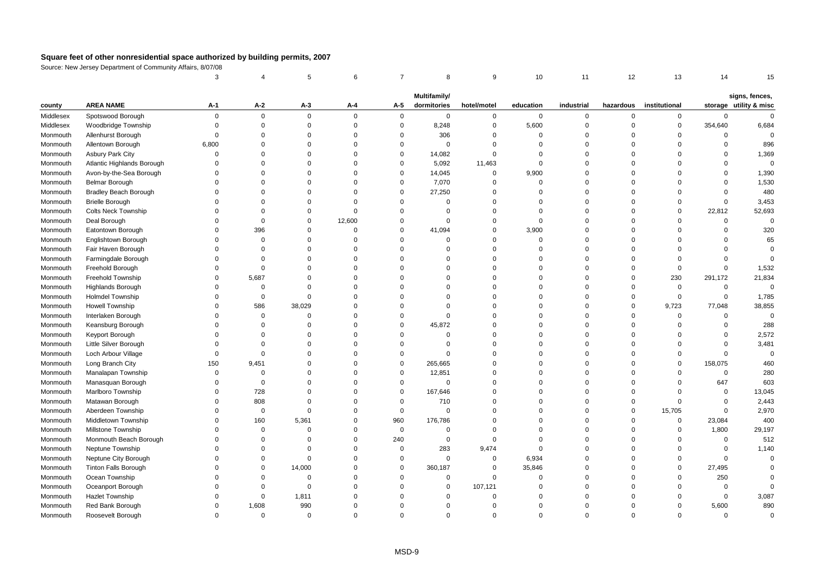|           |                             | 3           |             | 5           | 6        | $\overline{7}$ | 8            | 9              | 10          | 11          | 12             | 13            | 14          | 15                     |
|-----------|-----------------------------|-------------|-------------|-------------|----------|----------------|--------------|----------------|-------------|-------------|----------------|---------------|-------------|------------------------|
|           |                             |             |             |             |          |                | Multifamily/ |                |             |             |                |               |             | signs, fences,         |
| county    | <b>AREA NAME</b>            | A-1         | A-2         | $A-3$       | A-4      | A-5            | dormitories  | hotel/motel    | education   | industrial  | hazardous      | institutional |             | storage utility & misc |
| Middlesex | Spotswood Borough           | $\mathbf 0$ | $\mathbf 0$ | $\mathbf 0$ | $\Omega$ | $\mathbf 0$    | $\mathbf 0$  | $\mathbf 0$    | $\mathbf 0$ | 0           | $\mathbf 0$    | $\mathbf 0$   | $\mathsf 0$ | $\mathbf 0$            |
| Middlesex | Woodbridge Township         | $\mathbf 0$ | $\mathsf 0$ | $\mathbf 0$ | $\Omega$ | $\mathsf 0$    | 8,248        | $\mathbf 0$    | 5,600       | $\mathbf 0$ | $\overline{0}$ | $\mathsf 0$   | 354,640     | 6,684                  |
| Monmouth  | Allenhurst Borough          | $\Omega$    | $\Omega$    | $\Omega$    | $\Omega$ | $\mathbf 0$    | 306          | $\mathbf 0$    | $\Omega$    | $\Omega$    | $\Omega$       | $\mathbf 0$   | $\Omega$    | $\Omega$               |
| Monmouth  | Allentown Borough           | 6,800       | $\Omega$    | $\Omega$    | $\Omega$ | $\mathbf 0$    | $\mathbf 0$  | $\mathbf 0$    | $\Omega$    | $\Omega$    | $\Omega$       | $\Omega$      | $\Omega$    | 896                    |
| Monmouth  | <b>Asbury Park City</b>     | $\Omega$    | $\Omega$    | $\Omega$    | $\Omega$ | $\mathbf 0$    | 14,082       | $\mathbf 0$    | $\Omega$    | $\mathbf 0$ | $\Omega$       | $\Omega$      | $\mathbf 0$ | 1,369                  |
| Monmouth  | Atlantic Highlands Borough  | $\Omega$    | $\Omega$    | $\Omega$    | $\Omega$ | $\mathbf 0$    | 5,092        | 11,463         | $\mathbf 0$ | $\mathbf 0$ | $\Omega$       | $\Omega$      | $\Omega$    | $\mathbf 0$            |
| Monmouth  | Avon-by-the-Sea Borough     | $\Omega$    | $\Omega$    | $\Omega$    | $\Omega$ | $\mathbf 0$    | 14,045       | $\mathbf 0$    | 9,900       | $\Omega$    | $\Omega$       | $\Omega$      | $\Omega$    | 1,390                  |
| Monmouth  | Belmar Borough              | $\Omega$    | $\Omega$    | $\Omega$    | $\Omega$ | $\mathbf 0$    | 7,070        | $\overline{0}$ | $\Omega$    | $\mathbf 0$ | $\Omega$       | $\Omega$      | $\Omega$    | 1,530                  |
| Monmouth  | Bradley Beach Borough       | $\Omega$    | $\Omega$    | $\Omega$    | $\Omega$ | $\mathbf 0$    | 27,250       | $\Omega$       | $\Omega$    | $\Omega$    | $\Omega$       | $\Omega$      | $\Omega$    | 480                    |
| Monmouth  | <b>Brielle Borough</b>      | $\Omega$    | $\Omega$    | $\Omega$    | $\Omega$ | $\mathbf 0$    | $\Omega$     | $\mathbf 0$    | $\Omega$    | $\mathbf 0$ | $\Omega$       | $\Omega$      | $\mathbf 0$ | 3,453                  |
| Monmouth  | <b>Colts Neck Township</b>  | $\Omega$    | $\Omega$    | $\Omega$    | $\Omega$ | $\mathbf 0$    | $\mathbf 0$  | $\mathbf 0$    | $\Omega$    | $\mathbf 0$ | $\Omega$       | $\mathbf 0$   | 22,812      | 52,693                 |
| Monmouth  | Deal Borough                | $\Omega$    | $\mathbf 0$ | $\Omega$    | 12,600   | $\mathbf 0$    | $\mathbf 0$  | $\mathbf 0$    | $\mathbf 0$ | 0           | $\overline{0}$ | $\mathbf 0$   | $\mathsf 0$ | $\mathsf 0$            |
| Monmouth  | Eatontown Borough           | $\Omega$    | 396         | $\Omega$    | $\Omega$ | $\mathbf 0$    | 41,094       | $\mathbf 0$    | 3,900       | $\mathbf 0$ | $\Omega$       | $\Omega$      | $\Omega$    | 320                    |
| Monmouth  | Englishtown Borough         | $\Omega$    | $\Omega$    | $\Omega$    | $\Omega$ | $\Omega$       | $\Omega$     | $\mathbf 0$    | $\Omega$    | $\Omega$    | $\Omega$       | $\Omega$      | $\Omega$    | 65                     |
| Monmouth  | Fair Haven Borough          | $\Omega$    | $\Omega$    | $\Omega$    | $\Omega$ | $\Omega$       | $\Omega$     | $\mathbf 0$    | $\Omega$    | $\mathbf 0$ | $\Omega$       | $\Omega$      | $\Omega$    | $\Omega$               |
| Monmouth  | Farmingdale Borough         | $\Omega$    | $\mathbf 0$ | $\Omega$    | $\Omega$ | $\Omega$       | $\Omega$     | $\mathbf 0$    | $\Omega$    | $\Omega$    | $\Omega$       | $\Omega$      | $\Omega$    | $\Omega$               |
| Monmouth  | Freehold Borough            | $\Omega$    | $\mathbf 0$ | $\Omega$    | $\Omega$ | $\Omega$       | $\Omega$     | $\mathbf 0$    | $\Omega$    | $\Omega$    | $\Omega$       | $\mathbf 0$   | $\mathbf 0$ | 1,532                  |
| Monmouth  | Freehold Township           | $\Omega$    | 5,687       | $\Omega$    | $\Omega$ | $\Omega$       | $\Omega$     | $\mathbf 0$    | $\Omega$    | $\mathbf 0$ | $\overline{0}$ | 230           | 291,172     | 21,834                 |
| Monmouth  | <b>Highlands Borough</b>    | $\Omega$    | $\mathbf 0$ | $\Omega$    | $\Omega$ | $\Omega$       | $\Omega$     | $\Omega$       | $\Omega$    | $\Omega$    | $\overline{0}$ | $\mathsf 0$   | $\mathsf 0$ | $\mathbf 0$            |
| Monmouth  | <b>Holmdel Township</b>     | $\Omega$    | $\mathbf 0$ | $\Omega$    | $\Omega$ | $\Omega$       | $\Omega$     | $\Omega$       | $\Omega$    | $\Omega$    | $\Omega$       | $\Omega$      | $\mathbf 0$ | 1,785                  |
| Monmouth  | Howell Township             | $\Omega$    | 586         | 38,029      | $\Omega$ | $\Omega$       | $\Omega$     | $\mathbf 0$    | $\Omega$    | $\mathbf 0$ | $\overline{0}$ | 9,723         | 77,048      | 38,855                 |
| Monmouth  | Interlaken Borough          | $\Omega$    | $\mathbf 0$ | $\mathbf 0$ | $\Omega$ | $\mathbf 0$    | $\mathbf 0$  | $\mathbf 0$    | $\Omega$    | 0           | $\overline{0}$ | $\mathbf 0$   | $\mathsf 0$ | $\mathsf 0$            |
| Monmouth  | Keansburg Borough           | $\Omega$    | $\Omega$    | $\Omega$    | $\Omega$ | $\Omega$       | 45,872       | $\mathbf 0$    | $\Omega$    | $\Omega$    | $\Omega$       | $\Omega$      | $\Omega$    | 288                    |
| Monmouth  | Keyport Borough             | $\Omega$    | $\Omega$    | $\Omega$    | $\Omega$ | $\Omega$       | $\Omega$     | $\mathbf 0$    | $\Omega$    | $\Omega$    | $\Omega$       | $\Omega$      | $\Omega$    | 2,572                  |
| Monmouth  | Little Silver Borough       | $\Omega$    | $\Omega$    | $\Omega$    | $\Omega$ | $\mathbf 0$    | $\mathbf 0$  | $\mathbf 0$    | $\Omega$    | $\Omega$    | $\Omega$       | $\Omega$      | $\mathbf 0$ | 3,481                  |
| Monmouth  | Loch Arbour Village         | $\Omega$    | $\mathbf 0$ | $\Omega$    | $\Omega$ | $\mathbf 0$    | $\Omega$     | $\mathbf 0$    | $\Omega$    | $\mathbf 0$ | $\Omega$       | $\Omega$      | $\mathbf 0$ | $\Omega$               |
| Monmouth  | Long Branch City            | 150         | 9,451       | $\Omega$    | $\Omega$ | $\Omega$       | 265,665      | $\mathbf 0$    | $\Omega$    | $\Omega$    | $\Omega$       | $\mathbf 0$   | 158,075     | 460                    |
| Monmouth  | Manalapan Township          | $\mathbf 0$ | $\mathbf 0$ | $\Omega$    | $\Omega$ | $\mathbf 0$    | 12,851       | $\mathbf 0$    | $\Omega$    | $\mathbf 0$ | $\Omega$       | $\mathbf 0$   | $\mathsf 0$ | 280                    |
| Monmouth  | Manasquan Borough           | $\Omega$    | $\mathbf 0$ | $\Omega$    | $\Omega$ | $\mathbf 0$    | $\mathbf 0$  | $\Omega$       | $\Omega$    | $\Omega$    | $\Omega$       | $\Omega$      | 647         | 603                    |
| Monmouth  | Marlboro Township           | $\Omega$    | 728         | $\Omega$    | $\Omega$ | $\mathbf 0$    | 167,646      | $\Omega$       | $\Omega$    | $\Omega$    | $\Omega$       | $\Omega$      | $\mathbf 0$ | 13,045                 |
| Monmouth  | Matawan Borough             | $\Omega$    | 808         | $\mathbf 0$ | $\Omega$ | $\mathbf 0$    | 710          | $\mathbf 0$    | $\Omega$    | 0           | $\mathbf 0$    | $\mathbf 0$   | 0           | 2,443                  |
| Monmouth  | Aberdeen Township           | $\Omega$    | $\mathbf 0$ | $\mathbf 0$ | $\Omega$ | $\mathbf 0$    | $\mathbf 0$  | $\mathbf 0$    | $\Omega$    | $\mathbf 0$ | $\overline{0}$ | 15,705        | $\mathsf 0$ | 2,970                  |
| Monmouth  | Middletown Township         | $\Omega$    | 160         | 5,361       | $\Omega$ | 960            | 176,786      | $\mathbf 0$    | $\Omega$    | $\mathbf 0$ | $\Omega$       | $\mathbf 0$   | 23,084      | 400                    |
| Monmouth  | Millstone Township          | $\Omega$    | $\mathbf 0$ | $\Omega$    | $\Omega$ | $\mathsf 0$    | $\Omega$     | $\Omega$       | $\Omega$    | $\Omega$    | $\Omega$       | $\mathbf 0$   | 1,800       | 29,197                 |
| Monmouth  | Monmouth Beach Borough      | $\Omega$    | $\Omega$    | $\Omega$    | $\Omega$ | 240            | $\mathbf 0$  | $\mathbf 0$    | $\Omega$    | $\Omega$    | $\Omega$       | $\Omega$      | $\mathbf 0$ | 512                    |
| Monmouth  | Neptune Township            | $\Omega$    | $\Omega$    | $\Omega$    | $\Omega$ | $\mathbf{0}$   | 283          | 9,474          | $\Omega$    | $\Omega$    | $\Omega$       | $\Omega$      | $\mathbf 0$ | 1,140                  |
| Monmouth  | Neptune City Borough        | $\Omega$    | $\Omega$    | $\Omega$    | $\Omega$ | $\mathbf 0$    | $\mathsf 0$  | $\mathbf 0$    | 6,934       | $\Omega$    | $\Omega$       | $\mathbf 0$   | $\mathbf 0$ | $\Omega$               |
| Monmouth  | <b>Tinton Falls Borough</b> | $\Omega$    | 0           | 14,000      | $\Omega$ | 0              | 360,187      | $\mathbf 0$    | 35,846      | 0           | $\Omega$       | $\mathbf 0$   | 27,495      | $\Omega$               |
| Monmouth  | Ocean Township              | $\Omega$    | $\mathbf 0$ | $\mathbf 0$ | $\Omega$ | $\mathbf 0$    | $\mathbf 0$  | $\Omega$       | $\mathbf 0$ | 0           | $\Omega$       | $\mathbf 0$   | 250         | $\Omega$               |
| Monmouth  | Oceanport Borough           | $\Omega$    | $\Omega$    | $\Omega$    | $\Omega$ | $\Omega$       | $\Omega$     | 107,121        | $\Omega$    | $\Omega$    | $\Omega$       | $\Omega$      | $\mathsf 0$ |                        |
| Monmouth  | <b>Hazlet Township</b>      | $\Omega$    | 0           | 1,811       | $\Omega$ | $\Omega$       | $\mathbf 0$  | $\mathbf 0$    | $\Omega$    | 0           | $\Omega$       | $\Omega$      | 0           | 3,087                  |
| Monmouth  | Red Bank Borough            | $\Omega$    | 1,608       | 990         | $\Omega$ | $\Omega$       | $\Omega$     | $\mathbf 0$    | $\Omega$    | $\Omega$    | $\Omega$       | $\mathbf 0$   | 5,600       | 890                    |
| Monmouth  | Roosevelt Borough           | $\Omega$    | $\Omega$    | $\Omega$    | $\Omega$ | $\Omega$       | $\Omega$     | $\Omega$       | $\Omega$    | $\Omega$    | $\Omega$       | $\Omega$      | $\Omega$    | $\Omega$               |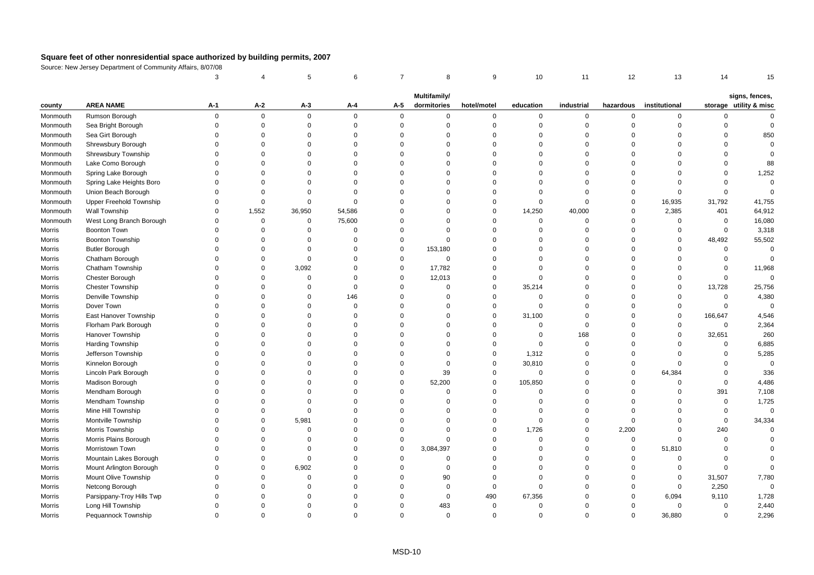|               |                                | 3           |             | 5           | 6        | $\overline{7}$ | 8            | 9           | 10          | 11          | 12             | 13            | 14          | 15                     |
|---------------|--------------------------------|-------------|-------------|-------------|----------|----------------|--------------|-------------|-------------|-------------|----------------|---------------|-------------|------------------------|
|               |                                |             |             |             |          |                | Multifamily/ |             |             |             |                |               |             | signs, fences,         |
| county        | <b>AREA NAME</b>               | A-1         | $A-2$       | A-3         | A-4      | A-5            | dormitories  | hotel/motel | education   | industrial  | hazardous      | institutional |             | storage utility & misc |
| Monmouth      | Rumson Borough                 | $\Omega$    | $\mathbf 0$ | $\mathbf 0$ | $\Omega$ | $\mathbf 0$    | $\mathbf 0$  | $\mathbf 0$ | $\mathbf 0$ | 0           | $\mathbf 0$    | $\mathbf 0$   | $\mathbf 0$ | $\Omega$               |
| Monmouth      | Sea Bright Borough             | $\Omega$    | $\mathbf 0$ | $\mathbf 0$ | $\Omega$ | $\mathbf 0$    | $\Omega$     | $\mathbf 0$ | $\Omega$    | 0           | $\overline{0}$ | $\mathbf 0$   | $\Omega$    | $\mathbf 0$            |
| Monmouth      | Sea Girt Borough               | $\Omega$    | $\Omega$    | $\Omega$    | $\Omega$ | $\Omega$       | $\Omega$     | $\mathbf 0$ | $\Omega$    | $\mathbf 0$ | $\Omega$       | $\Omega$      | $\Omega$    | 850                    |
| Monmouth      | Shrewsbury Borough             | $\Omega$    | $\Omega$    | 0           | $\Omega$ | $\Omega$       | $\Omega$     | $\mathbf 0$ | $\Omega$    | $\mathbf 0$ | $\Omega$       | $\Omega$      | $\Omega$    | $\Omega$               |
| Monmouth      | Shrewsbury Township            | $\Omega$    | $\Omega$    | $\Omega$    | $\Omega$ | $\Omega$       | $\Omega$     | $\Omega$    | $\Omega$    | $\Omega$    | $\Omega$       | $\Omega$      | $\Omega$    | $\Omega$               |
| Monmouth      | Lake Como Borough              | $\Omega$    | $\Omega$    | $\Omega$    | $\Omega$ | $\Omega$       | $\Omega$     | $\Omega$    | $\Omega$    | $\Omega$    | $\Omega$       | $\Omega$      | $\Omega$    | 88                     |
| Monmouth      | Spring Lake Borough            | $\Omega$    | $\Omega$    | $\Omega$    | $\Omega$ | $\Omega$       | $\Omega$     | $\mathbf 0$ | $\Omega$    | $\mathbf 0$ | $\Omega$       | $\Omega$      | $\Omega$    | 1,252                  |
| Monmouth      | Spring Lake Heights Boro       | $\Omega$    | $\Omega$    | $\Omega$    | $\Omega$ | $\Omega$       | $\Omega$     | $\mathbf 0$ | $\Omega$    | $\mathbf 0$ | $\mathbf 0$    | $\Omega$      | $\Omega$    | $\mathbf 0$            |
| Monmouth      | Union Beach Borough            | $\Omega$    | $\Omega$    | $\Omega$    | $\Omega$ | $\Omega$       | $\Omega$     | $\mathbf 0$ | $\Omega$    | $\mathbf 0$ | $\mathsf 0$    | $\mathbf 0$   | $\Omega$    | $\mathbf 0$            |
| Monmouth      | <b>Upper Freehold Township</b> | $\Omega$    | $\mathbf 0$ | $\mathbf 0$ | $\Omega$ | $\Omega$       | $\Omega$     | $\mathbf 0$ | $\Omega$    | $\mathbf 0$ | $\mathbf 0$    | 16,935        | 31,792      | 41,755                 |
| Monmouth      | Wall Township                  | $\Omega$    | 1,552       | 36,950      | 54,586   | $\Omega$       | $\Omega$     | $\mathbf 0$ | 14,250      | 40,000      | $\mathbf 0$    | 2,385         | 401         | 64,912                 |
| Monmouth      | West Long Branch Borough       | $\Omega$    | $\mathbf 0$ | $\mathsf 0$ | 75,600   | $\Omega$       | $\Omega$     | $\mathbf 0$ | $\Omega$    | 0           | $\overline{0}$ | $\mathsf 0$   | $\mathsf 0$ | 16,080                 |
| Morris        | Boonton Town                   | $\Omega$    | $\Omega$    | $\Omega$    | $\Omega$ | $\Omega$       | $\Omega$     | $\mathbf 0$ | $\Omega$    | $\mathbf 0$ | $\Omega$       | $\mathbf 0$   | $\mathsf 0$ | 3,318                  |
| Morris        | Boonton Township               | $\Omega$    | $\Omega$    | $\Omega$    | $\Omega$ | $\Omega$       | $\Omega$     | $\Omega$    | $\Omega$    | $\Omega$    | $\Omega$       | $\Omega$      | 48,492      | 55,502                 |
| Morris        | <b>Butler Borough</b>          | $\Omega$    | $\Omega$    | $\Omega$    | $\Omega$ | $\mathbf 0$    | 153,180      | $\Omega$    | $\Omega$    | $\Omega$    | $\Omega$       | $\Omega$      | $\mathbf 0$ | $\Omega$               |
| Morris        | Chatham Borough                | $\Omega$    | $\Omega$    | $\mathbf 0$ | $\Omega$ | $\mathbf 0$    | $\Omega$     | $\mathbf 0$ | $\Omega$    | $\mathbf 0$ | $\mathbf 0$    | $\Omega$      | $\mathbf 0$ | $\Omega$               |
| Morris        | Chatham Township               | $\Omega$    | $\Omega$    | 3,092       | $\Omega$ | $\mathsf 0$    | 17,782       | $\mathbf 0$ | $\Omega$    | $\Omega$    | $\Omega$       | $\Omega$      | $\mathbf 0$ | 11,968                 |
| Morris        | Chester Borough                | $\Omega$    | $\Omega$    | $\mathbf 0$ | $\Omega$ | $\mathsf 0$    | 12,013       | $\mathbf 0$ | $\Omega$    | $\mathbf 0$ | $\Omega$       | $\Omega$      | $\mathsf 0$ | $\Omega$               |
| <b>Morris</b> | <b>Chester Township</b>        | $\Omega$    | $\Omega$    | $\Omega$    | $\Omega$ | $\Omega$       | $\Omega$     | $\mathbf 0$ | 35,214      | $\Omega$    | $\Omega$       | $\Omega$      | 13,728      | 25,756                 |
| Morris        | Denville Township              | $\Omega$    | $\Omega$    | $\Omega$    | 146      | $\Omega$       | $\Omega$     | $\mathbf 0$ | $\Omega$    | $\Omega$    | $\Omega$       | $\Omega$      | $\mathbf 0$ | 4,380                  |
| Morris        | Dover Town                     | $\Omega$    | $\Omega$    | $\Omega$    | $\Omega$ | $\Omega$       | $\Omega$     | $\mathbf 0$ | $\Omega$    | $\mathbf 0$ | $\Omega$       | $\mathbf 0$   | $\mathbf 0$ | $\mathbf 0$            |
| Morris        | East Hanover Township          | $\Omega$    | $\Omega$    | $\Omega$    | $\Omega$ | $\Omega$       | $\Omega$     | $\mathbf 0$ | 31,100      | $\mathbf 0$ | $\Omega$       | $\mathbf 0$   | 166,647     | 4,546                  |
| Morris        | Florham Park Borough           | $\mathbf 0$ | $\Omega$    | $\Omega$    | $\Omega$ | $\Omega$       | $\Omega$     | $\mathbf 0$ | $\mathbf 0$ | $\mathbf 0$ | $\overline{0}$ | $\mathbf 0$   | $\mathsf 0$ | 2,364                  |
| Morris        | Hanover Township               | $\Omega$    | $\Omega$    | $\Omega$    | $\Omega$ | $\Omega$       | $\Omega$     | $\mathbf 0$ | $\Omega$    | 168         | $\Omega$       | $\Omega$      | 32,651      | 260                    |
| Morris        | Harding Township               | $\Omega$    | $\Omega$    | $\Omega$    | $\Omega$ | $\Omega$       | $\Omega$     | $\mathbf 0$ | $\Omega$    | $\mathbf 0$ | $\mathbf 0$    | $\Omega$      | $\Omega$    | 6,885                  |
| Morris        | Jefferson Township             | $\Omega$    | $\Omega$    | $\Omega$    | $\Omega$ | $\Omega$       | $\Omega$     | $\mathbf 0$ | 1,312       | $\mathbf 0$ | $\mathbf 0$    | $\Omega$      | $\Omega$    | 5,285                  |
| Morris        | Kinnelon Borough               | $\Omega$    | $\Omega$    | $\Omega$    | $\Omega$ | $\mathbf 0$    | $\Omega$     | $\mathbf 0$ | 30,810      | $\mathbf 0$ | $\mathbf 0$    | $\Omega$      | $\Omega$    | $\mathbf 0$            |
| Morris        | Lincoln Park Borough           | $\Omega$    | $\Omega$    | $\Omega$    | $\Omega$ | $\Omega$       | 39           | $\mathbf 0$ | $\Omega$    | 0           | $\mathsf 0$    | 64,384        | $\Omega$    | 336                    |
| Morris        | Madison Borough                | $\Omega$    | $\Omega$    | $\Omega$    | $\Omega$ | $\mathbf 0$    | 52,200       | $\mathbf 0$ | 105,850     | $\Omega$    | $\Omega$       | $\mathbf 0$   | $\mathbf 0$ | 4,486                  |
| Morris        | Mendham Borough                | $\Omega$    | $\Omega$    | $\Omega$    | $\Omega$ | $\Omega$       | $\Omega$     | $\mathbf 0$ | $\Omega$    | $\mathbf 0$ | $\mathbf 0$    | $\Omega$      | 391         | 7,108                  |
| Morris        | Mendham Township               | $\Omega$    | $\Omega$    | $\Omega$    | $\Omega$ | $\Omega$       | $\Omega$     | $\mathbf 0$ | $\Omega$    | $\mathbf 0$ | $\Omega$       | $\Omega$      | $\mathbf 0$ | 1,725                  |
| Morris        | Mine Hill Township             | $\Omega$    | $\Omega$    | $\Omega$    | $\Omega$ | $\Omega$       | $\Omega$     | $\mathbf 0$ | $\Omega$    | $\mathbf 0$ | $\Omega$       | $\Omega$      | $\mathbf 0$ | $\mathbf 0$            |
| Morris        | Montville Township             | $\Omega$    | $\Omega$    | 5,981       | $\Omega$ | $\Omega$       | $\Omega$     | $\mathbf 0$ | $\Omega$    | $\Omega$    | $\Omega$       | $\Omega$      | $\mathbf 0$ | 34,334                 |
| Morris        | Morris Township                | $\Omega$    | $\Omega$    | $\Omega$    | $\Omega$ | $\Omega$       | $\Omega$     | $\mathbf 0$ | 1,726       | $\mathbf 0$ | 2,200          | $\Omega$      | 240         | $\Omega$               |
| Morris        | Morris Plains Borough          | $\Omega$    | $\Omega$    | $\Omega$    | $\Omega$ | $\Omega$       | $\Omega$     | $\mathbf 0$ | $\Omega$    | $\mathbf 0$ | $\mathbf 0$    | $\Omega$      | $\mathbf 0$ | $\Omega$               |
| Morris        | Morristown Town                | $\Omega$    | $\Omega$    | $\Omega$    | $\Omega$ | $\Omega$       | 3,084,397    | $\mathbf 0$ | $\Omega$    | $\mathbf 0$ | $\mathbf 0$    | 51,810        | $\Omega$    |                        |
| Morris        | Mountain Lakes Borough         | $\Omega$    | $\mathbf 0$ | $\mathbf 0$ | $\Omega$ | $\mathbf 0$    | $\Omega$     | $\mathbf 0$ | $\Omega$    | $\mathbf 0$ | $\mathbf 0$    | $\mathbf 0$   | $\mathbf 0$ | $\Omega$               |
| Morris        | Mount Arlington Borough        | $\Omega$    | $\Omega$    | 6,902       | $\Omega$ | $\Omega$       | $\Omega$     | $\mathbf 0$ | $\Omega$    | $\mathbf 0$ | $\mathbf 0$    | $\mathbf 0$   | $\mathbf 0$ | $\Omega$               |
| Morris        | Mount Olive Township           | $\Omega$    | $\Omega$    | $\mathbf 0$ | $\Omega$ | $\Omega$       | 90           | $\mathbf 0$ | $\Omega$    | $\Omega$    | $\overline{0}$ | $\mathbf 0$   | 31,507      | 7,780                  |
| Morris        | Netcong Borough                | $\Omega$    | $\Omega$    | 0           | $\Omega$ | $\Omega$       | $\Omega$     | $\mathbf 0$ | $\Omega$    | $\mathbf 0$ | $\mathsf 0$    | $\mathbf 0$   | 2,250       | $\mathbf 0$            |
| Morris        | Parsippany-Troy Hills Twp      | $\Omega$    | $\Omega$    | $\Omega$    | $\Omega$ | $\Omega$       | $\Omega$     | 490         | 67,356      | $\Omega$    | $\Omega$       | 6,094         | 9,110       | 1,728                  |
| Morris        | Long Hill Township             | $\Omega$    | $\Omega$    | $\Omega$    | $\Omega$ | $\Omega$       | 483          | $\Omega$    | $\Omega$    | $\Omega$    | $\Omega$       | $\Omega$      | $\Omega$    | 2,440                  |
| Morris        | Pequannock Township            | $\Omega$    | $\Omega$    | $\Omega$    | $\Omega$ | $\Omega$       | $\Omega$     | $\Omega$    | $\Omega$    | $\Omega$    | $\Omega$       | 36,880        | $\mathbf 0$ | 2,296                  |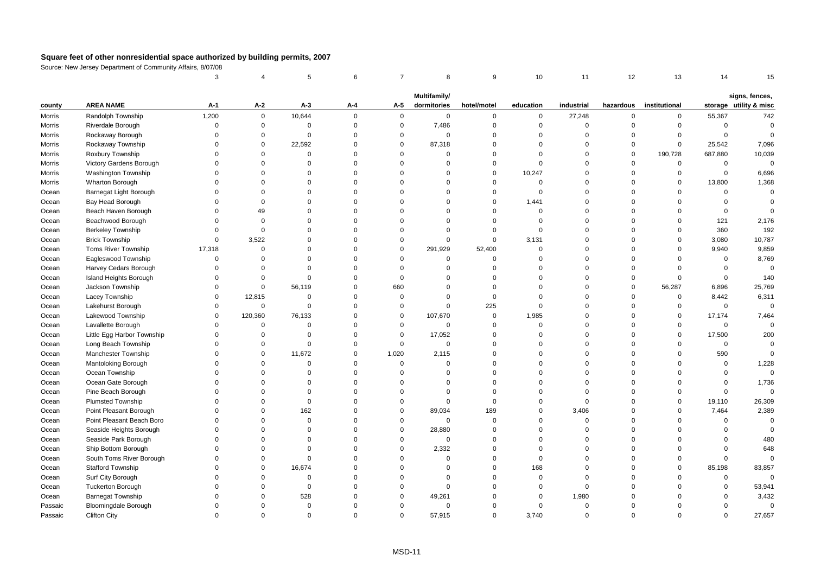|         |                             | 3        |             | 5           | 6           | $\overline{7}$ | 8            | 9           | 10          | 11          | 12             | 13            | 14          | 15                     |
|---------|-----------------------------|----------|-------------|-------------|-------------|----------------|--------------|-------------|-------------|-------------|----------------|---------------|-------------|------------------------|
|         |                             |          |             |             |             |                | Multifamily/ |             |             |             |                |               |             | signs, fences,         |
| county  | <b>AREA NAME</b>            | A-1      | $A-2$       | $A-3$       | A-4         | A-5            | dormitories  | hotel/motel | education   | industrial  | hazardous      | institutional |             | storage utility & misc |
| Morris  | Randolph Township           | 1,200    | $\mathsf 0$ | 10,644      | $\mathbf 0$ | $\mathbf 0$    | $\mathbf 0$  | $\mathbf 0$ | 0           | 27,248      | $\mathsf 0$    | $\mathbf 0$   | 55,367      | 742                    |
| Morris  | Riverdale Borough           | $\Omega$ | $\mathbf 0$ | $\mathbf 0$ | $\mathbf 0$ | $\mathsf 0$    | 7,486        | $\mathbf 0$ | $\mathbf 0$ | $\mathbf 0$ | $\mathbf 0$    | $\mathbf 0$   | $\mathsf 0$ | $\Omega$               |
| Morris  | Rockaway Borough            | $\Omega$ | $\mathbf 0$ | $\mathbf 0$ | $\mathbf 0$ | $\mathbf 0$    | $\mathbf 0$  | $\mathbf 0$ | $\Omega$    | $\mathbf 0$ | $\mathbf 0$    | $\Omega$      | $\mathsf 0$ | $\Omega$               |
| Morris  | Rockaway Township           | $\Omega$ | $\mathsf 0$ | 22,592      | $\mathbf 0$ | $\mathbf 0$    | 87,318       | $\mathbf 0$ | $\Omega$    | $\mathbf 0$ | $\mathsf 0$    | $\mathsf 0$   | 25,542      | 7,096                  |
| Morris  | Roxbury Township            | $\Omega$ | $\Omega$    | $\mathbf 0$ | $\mathbf 0$ | $\Omega$       | $\Omega$     | $\mathbf 0$ | $\Omega$    | $\Omega$    | $\mathbf 0$    | 190,728       | 687,880     | 10,039                 |
| Morris  | Victory Gardens Borough     | $\Omega$ | $\Omega$    | $\Omega$    | $\mathbf 0$ | $\Omega$       | $\mathbf 0$  | $\Omega$    | $\Omega$    | $\mathbf 0$ | $\mathsf 0$    | $\mathbf 0$   | 0           | $\mathbf 0$            |
| Morris  | <b>Washington Township</b>  | $\Omega$ | $\Omega$    | $\Omega$    | $\mathbf 0$ | $\Omega$       | $\Omega$     | $\mathbf 0$ | 10,247      | $\Omega$    | $\mathbf 0$    | $\mathbf 0$   | $\mathsf 0$ | 6,696                  |
| Morris  | Wharton Borough             | $\Omega$ | $\Omega$    | $\Omega$    | $\mathbf 0$ | $\Omega$       | $\Omega$     | $\mathbf 0$ | $\Omega$    | $\Omega$    | $\mathbf 0$    | $\mathbf 0$   | 13,800      | 1,368                  |
| Ocean   | Barnegat Light Borough      | $\Omega$ | $\Omega$    | $\Omega$    | $\mathbf 0$ | $\Omega$       | $\Omega$     | $\mathbf 0$ | $\Omega$    | $\Omega$    | $\mathbf 0$    | $\Omega$      | $\mathsf 0$ | $\mathbf 0$            |
| Ocean   | Bay Head Borough            | $\Omega$ | $\Omega$    | $\Omega$    | $\mathbf 0$ | $\Omega$       | $\Omega$     | $\mathbf 0$ | 1,441       | $\Omega$    | $\mathbf 0$    | $\Omega$      | $\mathbf 0$ | $\Omega$               |
| Ocean   | Beach Haven Borough         | $\Omega$ | 49          | $\Omega$    | $\mathbf 0$ | $\Omega$       | $\Omega$     | $\mathbf 0$ | $\Omega$    | $\Omega$    | $\mathbf 0$    | $\Omega$      | $\mathsf 0$ | $\Omega$               |
| Ocean   | Beachwood Borough           | $\Omega$ | $\mathbf 0$ | $\Omega$    | $\mathbf 0$ | $\Omega$       | $\Omega$     | $\mathbf 0$ | $\Omega$    | $\Omega$    | $\Omega$       | $\mathbf 0$   | 121         | 2,176                  |
| Ocean   | <b>Berkeley Township</b>    | $\Omega$ | $\mathbf 0$ | $\Omega$    | $\mathbf 0$ | $\Omega$       | $\Omega$     | $\mathbf 0$ | $\Omega$    | $\mathbf 0$ | $\mathbf 0$    | $\mathbf 0$   | 360         | 192                    |
| Ocean   | <b>Brick Township</b>       | $\Omega$ | 3,522       | $\Omega$    | $\mathbf 0$ | $\mathbf 0$    | $\mathbf 0$  | $\mathbf 0$ | 3,131       | $\Omega$    | $\mathsf 0$    | $\mathbf 0$   | 3,080       | 10,787                 |
| Ocean   | <b>Toms River Township</b>  | 17,318   | $\mathbf 0$ | $\Omega$    | $\mathbf 0$ | $\mathbf 0$    | 291,929      | 52,400      | $\Omega$    | $\mathbf 0$ | $\mathbf 0$    | $\Omega$      | 9,940       | 9,859                  |
| Ocean   | Eagleswood Township         | $\Omega$ | $\mathbf 0$ | $\Omega$    | $\mathbf 0$ | $\Omega$       | $\mathbf 0$  | $\mathbf 0$ | $\Omega$    | $\mathbf 0$ | $\mathbf 0$    | $\mathbf 0$   | 0           | 8,769                  |
| Ocean   | Harvey Cedars Borough       | $\Omega$ | $\Omega$    | $\Omega$    | $\mathbf 0$ | $\Omega$       | $\mathbf 0$  | $\Omega$    | $\Omega$    | $\Omega$    | $\mathsf 0$    | $\Omega$      | $\mathsf 0$ | $\mathsf 0$            |
| Ocean   | Island Heights Borough      | $\Omega$ | $\Omega$    | $\Omega$    | $\mathbf 0$ | $\mathbf 0$    | $\Omega$     | $\mathbf 0$ | $\Omega$    | $\mathbf 0$ | $\mathsf 0$    | $\Omega$      | $\mathsf 0$ | 140                    |
| Ocean   | Jackson Township            | $\Omega$ | $\mathbf 0$ | 56,119      | $\mathbf 0$ | 660            | $\Omega$     | $\Omega$    | $\Omega$    | $\Omega$    | $\mathbf 0$    | 56,287        | 6,896       | 25,769                 |
| Ocean   | Lacey Township              | $\Omega$ | 12,815      | $\Omega$    | $\mathbf 0$ | $\mathbf 0$    | $\Omega$     | $\Omega$    | $\Omega$    | $\Omega$    | $\mathbf 0$    | $\mathbf 0$   | 8,442       | 6,311                  |
| Ocean   | Lakehurst Borough           | $\Omega$ | $\mathsf 0$ | $\Omega$    | $\mathbf 0$ | $\Omega$       | $\mathbf 0$  | 225         | $\Omega$    | $\Omega$    | $\mathbf 0$    | $\mathbf 0$   | $\mathbf 0$ | $\mathbf 0$            |
| Ocean   | Lakewood Township           | $\Omega$ | 120,360     | 76,133      | $\mathbf 0$ | $\mathbf 0$    | 107,670      | $\mathbf 0$ | 1,985       | $\Omega$    | $\overline{0}$ | $\mathsf 0$   | 17,174      | 7,464                  |
| Ocean   | Lavallette Borough          | $\Omega$ | 0           | $\mathbf 0$ | $\mathbf 0$ | $\mathbf 0$    | $\mathbf 0$  | $\mathbf 0$ | $\Omega$    | $\mathbf 0$ | $\mathsf 0$    | $\mathbf 0$   | $\mathsf 0$ | $\Omega$               |
| Ocean   | Little Egg Harbor Township  | $\Omega$ | $\Omega$    | $\Omega$    | $\mathbf 0$ | $\Omega$       | 17,052       | $\mathbf 0$ | $\Omega$    | $\Omega$    | $\mathbf 0$    | $\mathbf 0$   | 17,500      | 200                    |
| Ocean   | Long Beach Township         | $\Omega$ | $\mathbf 0$ | $\Omega$    | $\mathbf 0$ | $\mathbf 0$    | $\Omega$     | $\Omega$    | $\Omega$    | $\Omega$    | $\Omega$       | $\Omega$      | $\mathbf 0$ | $\Omega$               |
| Ocean   | Manchester Township         | $\Omega$ | 0           | 11,672      | $\mathbf 0$ | 1,020          | 2,115        | $\mathbf 0$ | $\Omega$    | $\Omega$    | $\mathbf 0$    | $\Omega$      | 590         | $\Omega$               |
| Ocean   | Mantoloking Borough         | $\Omega$ | $\Omega$    | $\mathbf 0$ | $\mathbf 0$ | $\mathsf 0$    | $\mathbf 0$  | $\mathbf 0$ | $\Omega$    | $\mathbf 0$ | $\mathbf 0$    | $\mathbf 0$   | $\mathsf 0$ | 1,228                  |
| Ocean   | Ocean Township              | $\Omega$ | $\Omega$    | $\mathbf 0$ | $\mathbf 0$ | $\Omega$       | $\Omega$     | $\Omega$    | $\Omega$    | $\Omega$    | $\Omega$       | $\Omega$      | $\mathbf 0$ | $\mathbf 0$            |
| Ocean   | Ocean Gate Borough          | $\Omega$ | $\Omega$    | $\Omega$    | $\Omega$    | $\Omega$       | $\Omega$     | $\Omega$    | $\Omega$    | $\Omega$    | $\mathbf 0$    | $\Omega$      | $\mathbf 0$ | 1,736                  |
| Ocean   | Pine Beach Borough          | $\Omega$ | $\Omega$    | $\Omega$    | $\Omega$    | $\Omega$       | $\Omega$     | $\Omega$    | $\Omega$    | $\Omega$    | $\mathbf 0$    | $\Omega$      | $\mathbf 0$ | $\mathbf 0$            |
| Ocean   | <b>Plumsted Township</b>    | $\Omega$ | $\Omega$    | $\mathbf 0$ | $\mathbf 0$ | $\Omega$       | $\mathbf 0$  | $\mathbf 0$ | $\Omega$    | $\mathbf 0$ | $\mathsf 0$    | $\mathbf 0$   | 19,110      | 26,309                 |
| Ocean   | Point Pleasant Borough      | $\Omega$ | $\Omega$    | 162         | $\mathbf 0$ | $\mathbf 0$    | 89,034       | 189         | $\mathbf 0$ | 3,406       | $\mathsf 0$    | $\mathbf 0$   | 7,464       | 2,389                  |
| Ocean   | Point Pleasant Beach Boro   | $\Omega$ | $\Omega$    | $\mathbf 0$ | $\mathbf 0$ | $\Omega$       | $\mathbf 0$  | $\mathbf 0$ | $\Omega$    | $\mathbf 0$ | $\Omega$       | $\Omega$      | $\Omega$    | $\Omega$               |
| Ocean   | Seaside Heights Borough     | $\Omega$ | $\Omega$    | $\Omega$    | $\mathbf 0$ | $\Omega$       | 28,880       | $\mathbf 0$ | $\Omega$    | $\mathbf 0$ | $\mathbf 0$    | $\Omega$      | $\Omega$    | $\mathbf 0$            |
| Ocean   | Seaside Park Borough        | $\Omega$ | $\Omega$    | $\Omega$    | $\mathbf 0$ | $\Omega$       | $\Omega$     | $\mathbf 0$ | $\Omega$    | $\mathbf 0$ | $\mathbf 0$    | $\Omega$      | $\Omega$    | 480                    |
| Ocean   | Ship Bottom Borough         | $\Omega$ | $\Omega$    | $\Omega$    | $\mathbf 0$ | $\Omega$       | 2,332        | $\Omega$    | $\Omega$    | $\Omega$    | $\mathbf 0$    | $\Omega$      | $\Omega$    | 648                    |
| Ocean   | South Toms River Borough    | $\Omega$ | $\Omega$    | $\Omega$    | $\mathbf 0$ | $\Omega$       | $\mathbf 0$  | $\mathbf 0$ | $\Omega$    | $\Omega$    | $\mathbf 0$    | $\mathbf 0$   | $\mathbf 0$ | $\mathbf 0$            |
| Ocean   | <b>Stafford Township</b>    | $\Omega$ | $\Omega$    | 16,674      | $\mathbf 0$ | $\Omega$       | $\Omega$     | $\Omega$    | 168         | $\Omega$    | $\Omega$       | $\Omega$      | 85,198      | 83,857                 |
| Ocean   | Surf City Borough           | $\Omega$ | $\Omega$    | $\mathbf 0$ | $\mathbf 0$ | $\Omega$       | $\mathbf 0$  | $\Omega$    | $\Omega$    | $\mathbf 0$ | $\Omega$       | $\Omega$      | 0           | $\mathbf 0$            |
| Ocean   | <b>Tuckerton Borough</b>    | $\Omega$ | $\Omega$    | 0           | $\mathbf 0$ | $\Omega$       | $\mathbf 0$  | $\mathbf 0$ | $\Omega$    | $\mathbf 0$ | $\mathbf 0$    | $\Omega$      | $\Omega$    | 53,941                 |
| Ocean   | <b>Barnegat Township</b>    | $\Omega$ | $\Omega$    | 528         | $\mathbf 0$ | $\Omega$       | 49,261       | $\Omega$    | $\Omega$    | 1,980       | $\Omega$       | $\Omega$      | $\Omega$    | 3,432                  |
| Passaic | <b>Bloomingdale Borough</b> | $\Omega$ | $\Omega$    | 0           | $\Omega$    | $\Omega$       | $\mathbf 0$  | $\Omega$    | $\Omega$    | $\mathbf 0$ | $\Omega$       | $\Omega$      | $\Omega$    | $\mathbf 0$            |
| Passaic | <b>Clifton City</b>         | $\Omega$ | $\Omega$    | $\Omega$    | $\Omega$    | $\Omega$       | 57,915       | $\Omega$    | 3.740       | $\Omega$    | $\Omega$       | $\Omega$      | $\Omega$    | 27,657                 |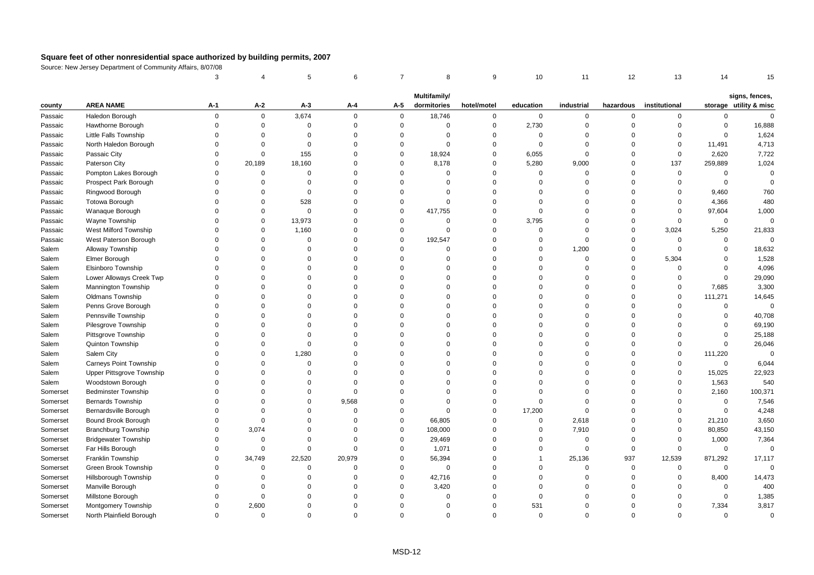|          |                             | 3           |             | 5           | 6           | $\overline{7}$ | 8            | 9           | 10          | 11          | 12          | 13            | 14           | 15                                       |
|----------|-----------------------------|-------------|-------------|-------------|-------------|----------------|--------------|-------------|-------------|-------------|-------------|---------------|--------------|------------------------------------------|
|          |                             |             |             |             |             |                | Multifamily/ |             |             |             |             |               |              |                                          |
| county   | <b>AREA NAME</b>            | A-1         | A-2         | $A-3$       | А-4         | A-5            | dormitories  | hotel/motel | education   | industrial  | hazardous   | institutional |              | signs, fences,<br>storage utility & misc |
| Passaic  | Haledon Borough             | $\mathbf 0$ | $\mathbf 0$ | 3,674       | $\Omega$    | $\mathbf{0}$   | 18,746       | $\mathbf 0$ | $\mathbf 0$ | 0           | $\mathbf 0$ | $\mathbf 0$   | $\mathbf 0$  | $\mathbf{0}$                             |
| Passaic  | Hawthorne Borough           | $\mathbf 0$ | $\mathsf 0$ | $\mathbf 0$ | $\mathbf 0$ | $\mathsf 0$    | $\mathbf 0$  | $\mathbf 0$ | 2,730       | $\mathbf 0$ | $\mathbf 0$ | $\mathbf 0$   | $\mathbf 0$  | 16,888                                   |
| Passaic  | Little Falls Township       | $\Omega$    | $\Omega$    | $\Omega$    | $\Omega$    | $\Omega$       | $\Omega$     | $\mathbf 0$ | $\Omega$    | $\mathbf 0$ | $\Omega$    | $\mathbf 0$   | $\mathbf 0$  | 1,624                                    |
| Passaic  | North Haledon Borough       | $\Omega$    | $\Omega$    | $\mathbf 0$ | $\Omega$    | $\mathbf 0$    | $\Omega$     | $\mathbf 0$ | $\Omega$    | $\mathbf 0$ | $\Omega$    | $\mathbf 0$   | 11,491       | 4,713                                    |
| Passaic  | Passaic City                | $\Omega$    | $\mathbf 0$ | 155         | $\Omega$    | $\mathbf 0$    | 18,924       | $\mathbf 0$ | 6,055       | $\mathbf 0$ | $\Omega$    | $\mathbf 0$   | 2,620        | 7,722                                    |
| Passaic  | Paterson City               | $\Omega$    | 20,189      | 18,160      | $\Omega$    | $\mathbf 0$    | 8,178        | $\mathbf 0$ | 5,280       | 9,000       | $\mathbf 0$ | 137           | 259,889      | 1,024                                    |
| Passaic  | Pompton Lakes Borough       | $\Omega$    | $\Omega$    | $\Omega$    | $\Omega$    | $\Omega$       | $\Omega$     | $\Omega$    | $\Omega$    | $\mathbf 0$ | $\Omega$    | $\mathbf 0$   | $\mathbf 0$  | $\mathbf 0$                              |
| Passaic  | Prospect Park Borough       | $\Omega$    | $\Omega$    | $\Omega$    | $\Omega$    | $\Omega$       | $\Omega$     | $\mathbf 0$ | $\Omega$    | $\Omega$    | $\Omega$    | $\mathbf 0$   | $\mathbf 0$  | $\Omega$                                 |
| Passaic  | Ringwood Borough            | $\Omega$    | $\Omega$    | $\mathbf 0$ | $\Omega$    | $\Omega$       | $\Omega$     | $\Omega$    | $\Omega$    | $\Omega$    | $\Omega$    | $\mathbf 0$   | 9,460        | 760                                      |
| Passaic  | <b>Totowa Borough</b>       | $\Omega$    | $\Omega$    | 528         | $\Omega$    | $\mathbf 0$    | $\Omega$     | $\Omega$    | $\Omega$    | $\mathbf 0$ | $\Omega$    | $\mathbf 0$   | 4,366        | 480                                      |
| Passaic  | Wanaque Borough             | $\Omega$    | $\Omega$    | $\mathbf 0$ | $\Omega$    | $\mathbf 0$    | 417,755      | $\mathbf 0$ | $\Omega$    | $\mathbf 0$ | $\Omega$    | $\mathbf 0$   | 97,604       | 1,000                                    |
| Passaic  | Wayne Township              | $\Omega$    | $\mathbf 0$ | 13,973      | $\Omega$    | $\Omega$       | $\mathbf 0$  | $\mathbf 0$ | 3,795       | $\Omega$    | $\mathbf 0$ | $\mathbf 0$   | $\mathbf 0$  | $\mathsf 0$                              |
| Passaic  | West Milford Township       | $\Omega$    | $\mathbf 0$ | 1,160       | $\Omega$    | $\mathbf 0$    | $\Omega$     | $\mathbf 0$ | $\Omega$    | $\mathbf 0$ | $\mathbf 0$ | 3,024         | 5,250        | 21,833                                   |
| Passaic  | West Paterson Borough       | $\Omega$    | $\Omega$    | $\Omega$    | $\Omega$    | $\Omega$       | 192,547      | $\Omega$    | $\Omega$    | $\Omega$    | $\Omega$    | $\mathbf 0$   | $\mathbf 0$  | $\mathbf 0$                              |
| Salem    | Alloway Township            | $\Omega$    | $\Omega$    | $\Omega$    | $\Omega$    | $\mathbf 0$    | $\Omega$     | $\Omega$    | $\Omega$    | 1,200       | $\Omega$    | $\Omega$      | $\Omega$     | 18,632                                   |
| Salem    | Elmer Borough               | $\Omega$    | $\Omega$    | $\mathbf 0$ | $\Omega$    | $\Omega$       | $\Omega$     | $\mathbf 0$ | $\Omega$    | $\mathbf 0$ | $\mathbf 0$ | 5,304         | $\mathbf 0$  | 1,528                                    |
| Salem    | Elsinboro Township          | $\Omega$    | $\Omega$    | $\Omega$    | $\mathbf 0$ | $\Omega$       | $\Omega$     | $\mathbf 0$ | $\Omega$    | $\mathbf 0$ | $\mathbf 0$ | $\mathbf 0$   | $\mathbf 0$  | 4,096                                    |
| Salem    | Lower Alloways Creek Twp    | $\Omega$    | $\Omega$    | $\Omega$    | $\Omega$    | $\Omega$       | $\Omega$     | $\mathbf 0$ | $\Omega$    | $\mathbf 0$ | $\Omega$    | $\mathbf 0$   | $\mathbf 0$  | 29,090                                   |
| Salem    | Mannington Township         | $\Omega$    | $\Omega$    | $\Omega$    | $\Omega$    | $\Omega$       | $\Omega$     | $\mathbf 0$ | $\Omega$    | $\Omega$    | $\Omega$    | $\mathbf 0$   | 7,685        | 3,300                                    |
| Salem    | Oldmans Township            | $\Omega$    | $\Omega$    | $\Omega$    | $\Omega$    | $\Omega$       | $\Omega$     | $\Omega$    | $\Omega$    | $\Omega$    | $\Omega$    | $\mathbf 0$   | 111,271      | 14,645                                   |
| Salem    | Penns Grove Borough         | $\Omega$    | $\Omega$    | $\Omega$    | $\Omega$    | $\Omega$       | $\Omega$     | $\mathbf 0$ | $\Omega$    | $\Omega$    | $\Omega$    | $\mathbf 0$   | $\mathbf 0$  | $\Omega$                                 |
| Salem    | Pennsville Township         | $\Omega$    | $\Omega$    | $\Omega$    | $\Omega$    | $\Omega$       | $\Omega$     | $\mathbf 0$ | $\Omega$    | $\Omega$    | $\Omega$    | $\mathbf 0$   | $\mathbf 0$  | 40,708                                   |
| Salem    | Pilesgrove Township         | $\Omega$    | $\Omega$    | $\Omega$    | $\Omega$    | $\Omega$       | $\Omega$     | $\mathbf 0$ | $\Omega$    | $\mathbf 0$ | $\Omega$    | $\Omega$      | $\mathbf 0$  | 69,190                                   |
| Salem    | Pittsgrove Township         | $\Omega$    | $\Omega$    | $\Omega$    | $\Omega$    | $\Omega$       | $\Omega$     | $\mathbf 0$ | $\Omega$    | $\Omega$    | $\Omega$    | $\Omega$      | $\Omega$     | 25,188                                   |
| Salem    | Quinton Township            | $\Omega$    | $\Omega$    | $\Omega$    | $\Omega$    | $\Omega$       | $\Omega$     | $\Omega$    | $\Omega$    | $\Omega$    | $\Omega$    | $\mathbf 0$   | $\Omega$     | 26,046                                   |
| Salem    | Salem City                  | $\Omega$    | $\Omega$    | 1,280       | $\Omega$    | $\Omega$       | $\Omega$     | $\mathbf 0$ | $\Omega$    | $\Omega$    | $\Omega$    | $\mathbf 0$   | 111,220      | $\Omega$                                 |
| Salem    | Carneys Point Township      | $\Omega$    | $\Omega$    | $\mathbf 0$ | $\Omega$    | $\Omega$       | $\Omega$     | $\mathbf 0$ | $\Omega$    | $\Omega$    | $\Omega$    | $\mathbf 0$   | $\mathbf 0$  | 6,044                                    |
| Salem    | Upper Pittsgrove Township   | $\Omega$    | $\Omega$    | $\Omega$    | $\Omega$    | $\Omega$       | $\Omega$     | $\Omega$    | $\Omega$    | $\Omega$    | $\Omega$    | $\mathbf 0$   | 15,025       | 22,923                                   |
| Salem    | Woodstown Borough           | $\Omega$    | $\Omega$    | $\Omega$    | $\Omega$    | $\Omega$       | $\Omega$     | $\mathbf 0$ | $\Omega$    | $\Omega$    | $\Omega$    | $\mathbf 0$   | 1,563        | 540                                      |
| Somerset | <b>Bedminster Township</b>  | $\Omega$    | $\Omega$    | $\Omega$    | $\Omega$    | $\Omega$       | $\Omega$     | $\mathbf 0$ | $\Omega$    | $\Omega$    | $\Omega$    | $\mathbf 0$   | 2,160        | 100,371                                  |
| Somerset | Bernards Township           | $\Omega$    | $\Omega$    | $\mathbf 0$ | 9,568       | $\Omega$       | $\Omega$     | $\mathbf 0$ | $\Omega$    | $\mathbf 0$ | $\Omega$    | $\mathbf 0$   | $\mathbf 0$  | 7,546                                    |
| Somerset | Bernardsville Borough       | $\Omega$    | $\Omega$    | $\Omega$    | $\Omega$    | $\Omega$       | $\Omega$     | $\mathbf 0$ | 17,200      | $\mathbf 0$ | $\Omega$    | $\mathbf 0$   | $\mathbf 0$  | 4,248                                    |
| Somerset | Bound Brook Borough         | $\Omega$    | $\mathbf 0$ | $\Omega$    | $\Omega$    | $\mathbf 0$    | 66,805       | $\mathbf 0$ | $\Omega$    | 2,618       | $\Omega$    | $\mathbf 0$   | 21,210       | 3,650                                    |
| Somerset | <b>Branchburg Township</b>  | $\Omega$    | 3,074       | $\Omega$    | $\Omega$    | $\mathbf 0$    | 108,000      | $\mathbf 0$ | $\Omega$    | 7,910       | $\Omega$    | $\mathbf 0$   | 80,850       | 43,150                                   |
| Somerset | <b>Bridgewater Township</b> | $\Omega$    | $\mathbf 0$ | $\Omega$    | $\Omega$    | $\mathbf 0$    | 29,469       | $\mathbf 0$ | $\Omega$    | $\mathbf 0$ | $\mathbf 0$ | $\mathbf 0$   | 1,000        | 7,364                                    |
| Somerset | Far Hills Borough           | $\Omega$    | $\mathbf 0$ | $\mathbf 0$ | $\Omega$    | $\mathbf 0$    | 1,071        | $\mathbf 0$ | $\Omega$    | $\mathbf 0$ | $\mathbf 0$ | $\mathbf 0$   | $\mathbf 0$  | $\mathbf 0$                              |
| Somerset | Franklin Township           | $\Omega$    | 34,749      | 22,520      | 20,979      | $\mathbf 0$    | 56,394       | $\mathbf 0$ | -1          | 25,136      | 937         | 12,539        | 871,292      | 17,117                                   |
| Somerset | Green Brook Township        | $\Omega$    | $\mathbf 0$ | $\mathbf 0$ | $\Omega$    | $\mathbf 0$    | $\mathbf 0$  | $\mathbf 0$ | $\Omega$    | $\mathbf 0$ | $\mathbf 0$ | $\mathbf 0$   | $\mathsf 0$  | $\Omega$                                 |
| Somerset | Hillsborough Township       | $\Omega$    | $\Omega$    | $\Omega$    | $\Omega$    | $\mathbf 0$    | 42,716       | $\Omega$    | $\Omega$    | $\mathbf 0$ | $\mathbf 0$ | $\mathbf 0$   | 8,400        | 14,473                                   |
| Somerset | Manville Borough            | $\Omega$    | $\Omega$    | $\Omega$    | $\Omega$    | $\Omega$       | 3,420        | $\Omega$    | $\Omega$    | $\mathbf 0$ | $\Omega$    | $\Omega$      | $\mathbf{0}$ | 400                                      |
| Somerset | Millstone Borough           | $\Omega$    | $\Omega$    | $\Omega$    | $\Omega$    | $\Omega$       | $\Omega$     | $\mathbf 0$ | $\Omega$    | $\Omega$    | $\Omega$    | $\mathbf 0$   | $\mathbf 0$  | 1,385                                    |
| Somerset | Montgomery Township         | $\Omega$    | 2,600       | $\Omega$    | $\Omega$    | $\Omega$       | $\Omega$     | $\mathbf 0$ | 531         | $\Omega$    | $\Omega$    | $\mathbf 0$   | 7,334        | 3,817                                    |
| Somerset | North Plainfield Borough    | $\Omega$    | $\Omega$    | $\Omega$    | $\Omega$    | $\Omega$       | $\Omega$     | $\Omega$    | $\Omega$    | $\Omega$    | $\Omega$    | $\Omega$      | $\Omega$     | $\Omega$                                 |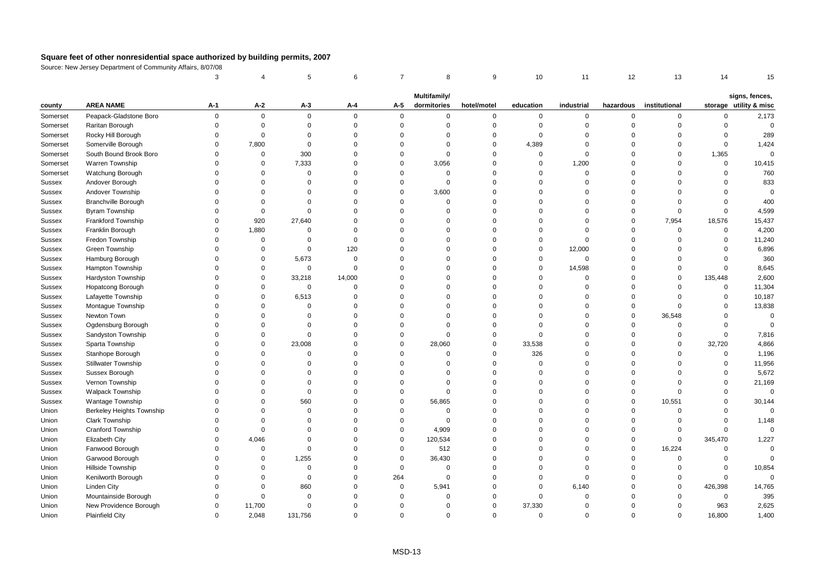|          |                            | 3           |                | 5           | 6           | $\overline{7}$ | 8            | 9           | 10          | 11          | 12          | 13            | 14          | 15                     |
|----------|----------------------------|-------------|----------------|-------------|-------------|----------------|--------------|-------------|-------------|-------------|-------------|---------------|-------------|------------------------|
|          |                            |             |                |             |             |                | Multifamily/ |             |             |             |             |               |             | signs, fences,         |
| county   | <b>AREA NAME</b>           | $A-1$       | A-2            | А-3         | A-4         | $A-5$          | dormitories  | hotel/motel | education   | industrial  | hazardous   | institutional |             | storage utility & misc |
| Somerset | Peapack-Gladstone Boro     | $\mathbf 0$ | $\mathbf 0$    | $\mathbf 0$ | $\Omega$    | $\mathbf 0$    | $\mathbf 0$  | $\Omega$    | 0           | $\mathbf 0$ | $\mathbf 0$ | 0             | $\mathbf 0$ | 2,173                  |
| Somerset | Raritan Borough            | 0           | $\mathbf 0$    | $\mathbf 0$ | $\mathbf 0$ | $\mathbf 0$    | $\mathbf 0$  | $\Omega$    | $\mathbf 0$ | $\mathbf 0$ | $\mathbf 0$ | $\Omega$      | $\mathbf 0$ | $\mathbf 0$            |
| Somerset | Rocky Hill Borough         | $\mathbf 0$ | $\mathbf 0$    | $\Omega$    | $\mathsf 0$ | $\mathbf 0$    | $\mathbf 0$  | $\Omega$    | $\mathbf 0$ | $\Omega$    | $\mathbf 0$ | $\Omega$      | $\mathbf 0$ | 289                    |
| Somerset | Somerville Borough         | $\Omega$    | 7,800          | $\Omega$    | $\Omega$    | $\Omega$       | $\Omega$     | $\Omega$    | 4,389       | $\Omega$    | $\Omega$    | $\Omega$      | $\mathbf 0$ | 1,424                  |
| Somerset | South Bound Brook Boro     | $\mathbf 0$ | $\mathbf 0$    | 300         | $\Omega$    | $\mathbf 0$    | $\Omega$     | $\Omega$    | $\mathbf 0$ | $\Omega$    | $\mathbf 0$ | $\mathbf 0$   | 1,365       | $\Omega$               |
| Somerset | Warren Township            | $\mathbf 0$ | $\mathbf 0$    | 7,333       | $\Omega$    | $\Omega$       | 3,056        | $\Omega$    | $\mathbf 0$ | 1,200       | $\mathbf 0$ | $\Omega$      | $\mathbf 0$ | 10,415                 |
| Somerset | Watchung Borough           | 0           | $\mathbf 0$    | $\mathbf 0$ | $\Omega$    | $\Omega$       | $\mathbf 0$  | $\Omega$    | $\mathbf 0$ | $\mathbf 0$ | $\mathbf 0$ | $\Omega$      | $\mathbf 0$ | 760                    |
| Sussex   | Andover Borough            | $\Omega$    | $\mathbf 0$    | $\Omega$    | $\Omega$    | $\Omega$       | $\Omega$     | $\Omega$    | $\Omega$    | $\Omega$    | $\mathbf 0$ | $\Omega$      | $\mathbf 0$ | 833                    |
| Sussex   | Andover Township           | $\Omega$    | $\Omega$       | $\Omega$    | $\Omega$    | $\Omega$       | 3,600        | $\Omega$    | $\Omega$    | $\Omega$    | $\Omega$    | $\Omega$      | $\Omega$    | $\mathbf 0$            |
| Sussex   | <b>Branchville Borough</b> | $\Omega$    | $\mathbf 0$    | $\Omega$    | $\Omega$    | $\mathbf 0$    | $\Omega$     | $\Omega$    | $\Omega$    | $\Omega$    | $\mathbf 0$ | $\Omega$      | $\mathbf 0$ | 400                    |
| Sussex   | Byram Township             | $\mathbf 0$ | $\mathbf 0$    | $\mathbf 0$ | $\Omega$    | $\Omega$       | $\mathbf 0$  | $\Omega$    | $\Omega$    | $\Omega$    | $\mathbf 0$ | $\mathbf 0$   | $\mathbf 0$ | 4,599                  |
| Sussex   | <b>Frankford Township</b>  | $\mathbf 0$ | 920            | 27,640      | $\mathbf 0$ | $\Omega$       | $\Omega$     | $\Omega$    | $\Omega$    | $\Omega$    | $\mathbf 0$ | 7,954         | 18,576      | 15,437                 |
| Sussex   | Franklin Borough           | $\mathbf 0$ | 1,880          | $\mathbf 0$ | $\Omega$    | $\Omega$       | $\Omega$     | $\Omega$    | $\Omega$    | $\Omega$    | $\mathbf 0$ | $\mathbf 0$   | $\mathbf 0$ | 4,200                  |
| Sussex   | Fredon Township            | $\Omega$    | $\mathbf 0$    | $\mathbf 0$ | $\mathbf 0$ | $\Omega$       | $\Omega$     | $\Omega$    | $\mathbf 0$ | $\Omega$    | $\mathbf 0$ | $\Omega$      | $\mathbf 0$ | 11,240                 |
| Sussex   | Green Township             | $\Omega$    | $\overline{0}$ | $\mathbf 0$ | 120         | $\Omega$       | $\Omega$     | $\Omega$    | $\mathbf 0$ | 12,000      | $\mathbf 0$ | $\Omega$      | $\mathbf 0$ | 6,896                  |
| Sussex   | Hamburg Borough            | 0           | $\mathbf 0$    | 5,673       | $\mathsf 0$ | $\Omega$       | $\mathbf 0$  | $\Omega$    | 0           | $\mathsf 0$ | $\mathbf 0$ | $\Omega$      | 0           | 360                    |
| Sussex   | Hampton Township           | $\mathbf 0$ | $\mathbf 0$    | $\mathbf 0$ | $\mathbf 0$ | $\Omega$       | $\Omega$     | $\Omega$    | $\mathbf 0$ | 14,598      | $\mathbf 0$ | $\Omega$      | $\mathbf 0$ | 8,645                  |
| Sussex   | Hardyston Township         | 0           | $\mathbf 0$    | 33,218      | 14,000      | $\Omega$       | $\Omega$     | $\Omega$    | $\Omega$    | $\Omega$    | $\mathbf 0$ | $\Omega$      | 135,448     | 2,600                  |
| Sussex   | Hopatcong Borough          | $\mathbf 0$ | $\mathbf 0$    | $\mathbf 0$ | $\mathbf 0$ | $\Omega$       | $\Omega$     | $\Omega$    | $\Omega$    | $\Omega$    | $\mathbf 0$ | $\Omega$      | 0           | 11,304                 |
| Sussex   | Lafayette Township         | $\Omega$    | $\mathbf 0$    | 6,513       | $\Omega$    | $\Omega$       | $\Omega$     | $\Omega$    | $\Omega$    | $\Omega$    | $\mathbf 0$ | $\Omega$      | $\mathbf 0$ | 10,187                 |
| Sussex   | Montague Township          | $\Omega$    | $\Omega$       | $\Omega$    | $\Omega$    | $\Omega$       | $\Omega$     | $\Omega$    | $\Omega$    | $\Omega$    | $\mathbf 0$ | $\Omega$      | $\Omega$    | 13,838                 |
| Sussex   | Newton Town                | $\Omega$    | $\Omega$       | $\Omega$    | $\Omega$    | $\Omega$       | $\Omega$     | $\Omega$    | $\Omega$    | $\Omega$    | $\mathbf 0$ | 36,548        | $\mathbf 0$ | $\mathbf 0$            |
| Sussex   | Ogdensburg Borough         | 0           | $\mathbf 0$    | $\mathbf 0$ | $\Omega$    | $\Omega$       | $\Omega$     | $\Omega$    | $\Omega$    | $\Omega$    | $\mathbf 0$ | $\mathbf 0$   | 0           | $\Omega$               |
| Sussex   | Sandyston Township         | $\mathbf 0$ | $\overline{0}$ | $\mathbf 0$ | $\mathbf 0$ | $\mathbf 0$    | $\mathbf 0$  | $\Omega$    | $\mathbf 0$ | $\Omega$    | $\mathbf 0$ | $\mathbf 0$   | $\mathbf 0$ | 7,816                  |
| Sussex   | Sparta Township            | $\Omega$    | $\mathbf 0$    | 23,008      | $\Omega$    | 0              | 28,060       | $\Omega$    | 33,538      | $\Omega$    | $\mathbf 0$ | $\mathbf 0$   | 32,720      | 4,866                  |
| Sussex   | Stanhope Borough           | $\Omega$    | $\Omega$       | $\mathbf 0$ | $\Omega$    | $\Omega$       | $\Omega$     | $\Omega$    | 326         | $\Omega$    | $\mathbf 0$ | $\Omega$      | $\mathbf 0$ | 1,196                  |
| Sussex   | Stillwater Township        | $\Omega$    | $\Omega$       | $\Omega$    | $\Omega$    | $\Omega$       | $\Omega$     | $\Omega$    | $\Omega$    | $\Omega$    | $\mathbf 0$ | $\Omega$      | $\mathbf 0$ | 11,956                 |
| Sussex   | Sussex Borough             | $\Omega$    | $\Omega$       | $\Omega$    | $\Omega$    | $\Omega$       | $\Omega$     | $\Omega$    | $\Omega$    | $\Omega$    | $\mathbf 0$ | $\Omega$      | $\Omega$    | 5,672                  |
| Sussex   | Vernon Township            | 0           | $\Omega$       | $\Omega$    | $\mathbf 0$ | $\Omega$       | $\Omega$     | $\Omega$    | $\Omega$    | $\Omega$    | $\mathbf 0$ | $\Omega$      | 0           | 21,169                 |
| Sussex   | <b>Walpack Township</b>    | $\Omega$    | $\Omega$       | $\mathbf 0$ | $\Omega$    | $\Omega$       | $\Omega$     | $\Omega$    | $\Omega$    | $\Omega$    | $\mathbf 0$ | $\Omega$      | $\Omega$    | $\Omega$               |
| Sussex   | <b>Wantage Township</b>    | $\Omega$    | $\mathbf 0$    | 560         | $\Omega$    | $\Omega$       | 56,865       | $\Omega$    | $\Omega$    | $\Omega$    | $\mathbf 0$ | 10,551        | $\Omega$    | 30,144                 |
| Union    | Berkeley Heights Township  | $\Omega$    | $\Omega$       | $\mathbf 0$ | $\Omega$    | $\Omega$       | $\Omega$     | $\Omega$    | $\Omega$    | $\Omega$    | $\mathbf 0$ | $\Omega$      | $\mathbf 0$ | $\Omega$               |
| Union    | Clark Township             | $\mathbf 0$ | $\overline{0}$ | $\mathbf 0$ | $\Omega$    | $\Omega$       | $\Omega$     | $\Omega$    | $\Omega$    | $\Omega$    | $\mathbf 0$ | $\mathbf 0$   | $\mathbf 0$ | 1,148                  |
| Union    | <b>Cranford Township</b>   | $\Omega$    | $\mathbf 0$    | $\Omega$    | $\Omega$    | $\Omega$       | 4,909        | $\Omega$    | $\Omega$    | $\Omega$    | $\mathbf 0$ | $\Omega$      | $\mathbf 0$ | $\mathbf 0$            |
| Union    | Elizabeth City             | $\mathbf 0$ | 4,046          | $\Omega$    | $\Omega$    | 0              | 120,534      | $\Omega$    | $\Omega$    | $\Omega$    | $\mathbf 0$ | $\Omega$      | 345,470     | 1,227                  |
| Union    | Fanwood Borough            | $\Omega$    | $\mathbf 0$    | $\mathbf 0$ | $\Omega$    | $\mathbf 0$    | 512          | $\Omega$    | $\Omega$    | 0           | $\mathbf 0$ | 16,224        | $\mathbf 0$ | $\mathbf 0$            |
| Union    | Garwood Borough            | $\Omega$    | $\mathbf 0$    | 1,255       | $\Omega$    | 0              | 36,430       | $\Omega$    | $\Omega$    | $\Omega$    | $\mathbf 0$ | $\mathbf 0$   | 0           | $\Omega$               |
| Union    | Hillside Township          | $\Omega$    | $\mathbf 0$    | $\mathbf 0$ | $\Omega$    | $\mathbf 0$    | $\Omega$     | $\Omega$    | $\Omega$    | $\Omega$    | $\mathbf 0$ | $\Omega$      | $\mathbf 0$ | 10,854                 |
| Union    | Kenilworth Borough         | $\Omega$    | $\mathbf 0$    | $\mathbf 0$ | $\Omega$    | 264            | $\Omega$     | $\Omega$    | $\mathbf 0$ | $\Omega$    | $\Omega$    | $\mathbf 0$   | $\mathbf 0$ | $\Omega$               |
| Union    | Linden City                | $\Omega$    | $\mathbf 0$    | 860         | $\Omega$    | $\mathbf 0$    | 5,941        | $\Omega$    | $\mathbf 0$ | 6,140       | $\mathbf 0$ | $\mathbf 0$   | 426,398     | 14,765                 |
| Union    | Mountainside Borough       | $\Omega$    | $\mathbf 0$    | $\Omega$    | $\Omega$    | $\Omega$       | $\Omega$     | $\Omega$    | $\mathbf 0$ | $\Omega$    | $\Omega$    | $\Omega$      | $\mathsf 0$ | 395                    |
| Union    | New Providence Borough     | 0           | 11,700         | $\mathbf 0$ | $\Omega$    | $\Omega$       | $\Omega$     | $\Omega$    | 37,330      | $\Omega$    | $\Omega$    | $\Omega$      | 963         | 2,625                  |
| Union    | <b>Plainfield City</b>     | $\mathbf 0$ | 2,048          | 131,756     | $\Omega$    | $\Omega$       | $\Omega$     | $\Omega$    | $\Omega$    | $\Omega$    | $\Omega$    | $\Omega$      | 16,800      | 1,400                  |